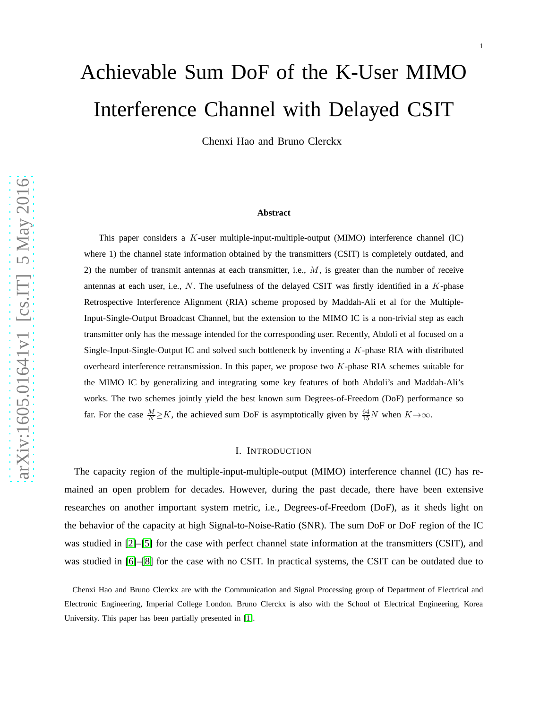# Achievable Sum DoF of the K-User MIMO Interference Channel with Delayed CSIT

Chenxi Hao and Bruno Clerckx

#### **Abstract**

This paper considers a K-user multiple-input-multiple-output (MIMO) interference channel (IC) where 1) the channel state information obtained by the transmitters (CSIT) is completely outdated, and 2) the number of transmit antennas at each transmitter, i.e.,  $M$ , is greater than the number of receive antennas at each user, i.e.,  $N$ . The usefulness of the delayed CSIT was firstly identified in a  $K$ -phase Retrospective Interference Alignment (RIA) scheme proposed by Maddah-Ali et al for the Multiple-Input-Single-Output Broadcast Channel, but the extension to the MIMO IC is a non-trivial step as each transmitter only has the message intended for the corresponding user. Recently, Abdoli et al focused on a Single-Input-Single-Output IC and solved such bottleneck by inventing a K-phase RIA with distributed overheard interference retransmission. In this paper, we propose two  $K$ -phase RIA schemes suitable for the MIMO IC by generalizing and integrating some key features of both Abdoli's and Maddah-Ali's works. The two schemes jointly yield the best known sum Degrees-of-Freedom (DoF) performance so far. For the case  $\frac{M}{N} \ge K$ , the achieved sum DoF is asymptotically given by  $\frac{64}{15}N$  when  $K \to \infty$ .

#### I. INTRODUCTION

The capacity region of the multiple-input-multiple-output (MIMO) interference channel (IC) has remained an open problem for decades. However, during the past decade, there have been extensive researches on another important system metric, i.e., Degrees-of-Freedom (DoF), as it sheds light on the behavior of the capacity at high Signal-to-Noise-Ratio (SNR). The sum DoF or DoF region of the IC was studied in [\[2\]](#page-29-0)–[\[5\]](#page-30-0) for the case with perfect channel state information at the transmitters (CSIT), and was studied in [\[6\]](#page-30-1)–[\[8\]](#page-30-2) for the case with no CSIT. In practical systems, the CSIT can be outdated due to

Chenxi Hao and Bruno Clerckx are with the Communication and Signal Processing group of Department of Electrical and Electronic Engineering, Imperial College London. Bruno Clerckx is also with the School of Electrical Engineering, Korea University. This paper has been partially presented in [\[1\]](#page-29-1).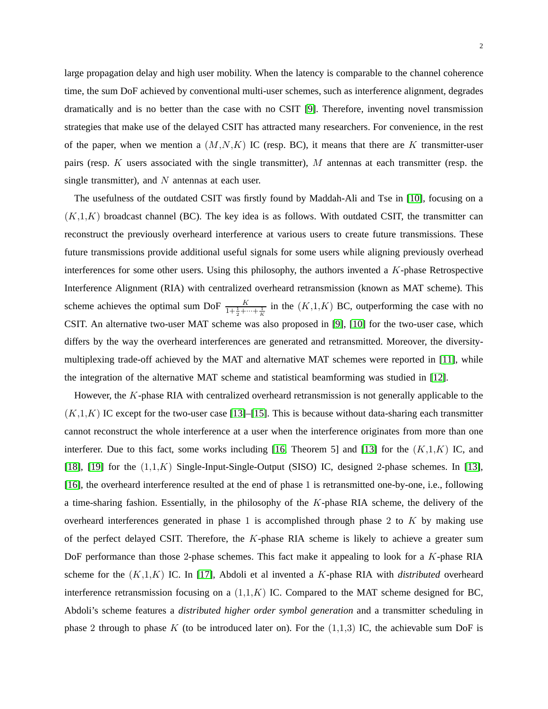large propagation delay and high user mobility. When the latency is comparable to the channel coherence time, the sum DoF achieved by conventional multi-user schemes, such as interference alignment, degrades dramatically and is no better than the case with no CSIT [\[9\]](#page-30-3). Therefore, inventing novel transmission strategies that make use of the delayed CSIT has attracted many researchers. For convenience, in the rest of the paper, when we mention a  $(M, N, K)$  IC (resp. BC), it means that there are K transmitter-user pairs (resp.  $K$  users associated with the single transmitter),  $M$  antennas at each transmitter (resp. the single transmitter), and  $N$  antennas at each user.

The usefulness of the outdated CSIT was firstly found by Maddah-Ali and Tse in [\[10\]](#page-30-4), focusing on a  $(K,1,K)$  broadcast channel (BC). The key idea is as follows. With outdated CSIT, the transmitter can reconstruct the previously overheard interference at various users to create future transmissions. These future transmissions provide additional useful signals for some users while aligning previously overhead interferences for some other users. Using this philosophy, the authors invented a K-phase Retrospective Interference Alignment (RIA) with centralized overheard retransmission (known as MAT scheme). This scheme achieves the optimal sum DoF  $\frac{K}{1+\frac{1}{2}+\cdots+\frac{1}{K}}$  in the  $(K,1,K)$  BC, outperforming the case with no CSIT. An alternative two-user MAT scheme was also proposed in [\[9\]](#page-30-3), [\[10\]](#page-30-4) for the two-user case, which differs by the way the overheard interferences are generated and retransmitted. Moreover, the diversitymultiplexing trade-off achieved by the MAT and alternative MAT schemes were reported in [\[11\]](#page-30-5), while the integration of the alternative MAT scheme and statistical beamforming was studied in [\[12\]](#page-30-6).

However, the K-phase RIA with centralized overheard retransmission is not generally applicable to the  $(K,1,K)$  IC except for the two-user case [\[13\]](#page-30-7)–[\[15\]](#page-30-8). This is because without data-sharing each transmitter cannot reconstruct the whole interference at a user when the interference originates from more than one interferer. Due to this fact, some works including [\[16,](#page-30-9) Theorem 5] and [\[13\]](#page-30-7) for the  $(K,1,K)$  IC, and [\[18\]](#page-30-10), [\[19\]](#page-30-11) for the  $(1,1,K)$  Single-Input-Single-Output (SISO) IC, designed 2-phase schemes. In [\[13\]](#page-30-7), [\[16\]](#page-30-9), the overheard interference resulted at the end of phase 1 is retransmitted one-by-one, i.e., following a time-sharing fashion. Essentially, in the philosophy of the K-phase RIA scheme, the delivery of the overheard interferences generated in phase 1 is accomplished through phase 2 to  $K$  by making use of the perfect delayed CSIT. Therefore, the  $K$ -phase RIA scheme is likely to achieve a greater sum DoF performance than those 2-phase schemes. This fact make it appealing to look for a K-phase RIA scheme for the (K,1,K) IC. In [\[17\]](#page-30-12), Abdoli et al invented a K-phase RIA with *distributed* overheard interference retransmission focusing on a  $(1,1,K)$  IC. Compared to the MAT scheme designed for BC, Abdoli's scheme features a *distributed higher order symbol generation* and a transmitter scheduling in phase 2 through to phase K (to be introduced later on). For the  $(1,1,3)$  IC, the achievable sum DoF is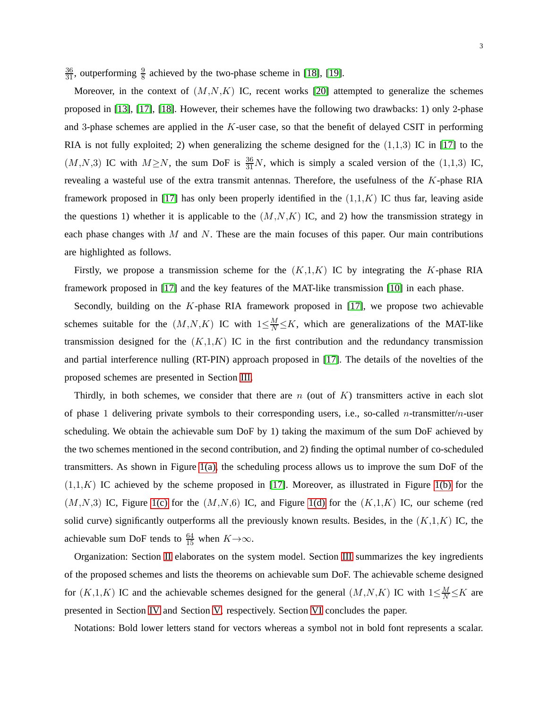$\frac{36}{31}$ , outperforming  $\frac{9}{8}$  achieved by the two-phase scheme in [\[18\]](#page-30-10), [\[19\]](#page-30-11).

Moreover, in the context of  $(M, N, K)$  IC, recent works [\[20\]](#page-30-13) attempted to generalize the schemes proposed in [\[13\]](#page-30-7), [\[17\]](#page-30-12), [\[18\]](#page-30-10). However, their schemes have the following two drawbacks: 1) only 2-phase and 3-phase schemes are applied in the  $K$ -user case, so that the benefit of delayed CSIT in performing RIA is not fully exploited; 2) when generalizing the scheme designed for the  $(1,1,3)$  IC in [\[17\]](#page-30-12) to the  $(M, N, 3)$  IC with  $M \ge N$ , the sum DoF is  $\frac{36}{31}N$ , which is simply a scaled version of the (1,1,3) IC, revealing a wasteful use of the extra transmit antennas. Therefore, the usefulness of the K-phase RIA framework proposed in [\[17\]](#page-30-12) has only been properly identified in the  $(1,1,K)$  IC thus far, leaving aside the questions 1) whether it is applicable to the  $(M, N, K)$  IC, and 2) how the transmission strategy in each phase changes with  $M$  and  $N$ . These are the main focuses of this paper. Our main contributions are highlighted as follows.

Firstly, we propose a transmission scheme for the  $(K,1,K)$  IC by integrating the K-phase RIA framework proposed in [\[17\]](#page-30-12) and the key features of the MAT-like transmission [\[10\]](#page-30-4) in each phase.

Secondly, building on the  $K$ -phase RIA framework proposed in [\[17\]](#page-30-12), we propose two achievable schemes suitable for the  $(M, N, K)$  IC with  $1 \leq \frac{M}{N} \leq K$ , which are generalizations of the MAT-like transmission designed for the  $(K,1,K)$  IC in the first contribution and the redundancy transmission and partial interference nulling (RT-PIN) approach proposed in [\[17\]](#page-30-12). The details of the novelties of the proposed schemes are presented in Section [III.](#page-5-0)

Thirdly, in both schemes, we consider that there are n (out of  $K$ ) transmitters active in each slot of phase 1 delivering private symbols to their corresponding users, i.e., so-called n-transmitter/n-user scheduling. We obtain the achievable sum DoF by 1) taking the maximum of the sum DoF achieved by the two schemes mentioned in the second contribution, and 2) finding the optimal number of co-scheduled transmitters. As shown in Figure  $1(a)$ , the scheduling process allows us to improve the sum DoF of the  $(1,1,K)$  IC achieved by the scheme proposed in [\[17\]](#page-30-12). Moreover, as illustrated in Figure [1\(b\)](#page-3-1) for the  $(M,N,3)$  IC, Figure [1\(c\)](#page-3-2) for the  $(M,N,6)$  IC, and Figure [1\(d\)](#page-3-3) for the  $(K,1,K)$  IC, our scheme (red solid curve) significantly outperforms all the previously known results. Besides, in the  $(K,1,K)$  IC, the achievable sum DoF tends to  $\frac{64}{15}$  when  $K \rightarrow \infty$ .

Organization: Section [II](#page-3-4) elaborates on the system model. Section [III](#page-5-0) summarizes the key ingredients of the proposed schemes and lists the theorems on achievable sum DoF. The achievable scheme designed for  $(K,1,K)$  IC and the achievable schemes designed for the general  $(M,N,K)$  IC with  $1 \leq \frac{M}{N} \leq K$  are presented in Section [IV](#page-8-0) and Section [V,](#page-15-0) respectively. Section [VI](#page-27-0) concludes the paper.

Notations: Bold lower letters stand for vectors whereas a symbol not in bold font represents a scalar.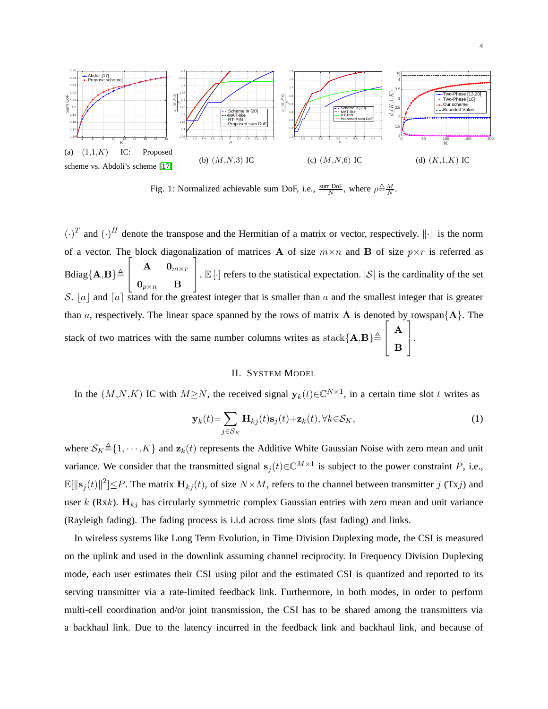<span id="page-3-0"></span>

<span id="page-3-3"></span><span id="page-3-2"></span><span id="page-3-1"></span>Fig. 1: Normalized achievable sum DoF, i.e.,  $\frac{\text{sum DoF}}{N}$ , where  $\rho \triangleq \frac{M}{N}$ .

 $(\cdot)^T$  and  $(\cdot)^H$  denote the transpose and the Hermitian of a matrix or vector, respectively.  $\|\cdot\|$  is the norm of a vector. The block diagonalization of matrices **A** of size  $m \times n$  and **B** of size  $p \times r$  is referred as  $Bdiag{A,B} \triangleq$  $\sqrt{ }$  $\overline{1}$  ${\bf A} = {\bf 0}_{m \times r}$  $\mathbf{0}_{p\times n}$  B 1 .  $\mathbb{E}[\cdot]$  refers to the statistical expectation.  $|\mathcal{S}|$  is the cardinality of the set S. |a| and  $\lceil a \rceil$  stand for the greatest integer that is smaller than a and the smallest integer that is greater than a, respectively. The linear space spanned by the rows of matrix A is denoted by rowspan ${A}$ . The stack of two matrices with the same number columns writes as stack  ${A,B} \triangleq$  $\sqrt{ }$  $\overline{1}$ A B 1  $\vert \cdot$ 

# II. SYSTEM MODEL

<span id="page-3-4"></span>In the  $(M, N, K)$  IC with  $M \ge N$ , the received signal  $y_k(t) \in \mathbb{C}^{N \times 1}$ , in a certain time slot t writes as

$$
\mathbf{y}_k(t) = \sum_{j \in \mathcal{S}_K} \mathbf{H}_{kj}(t) \mathbf{s}_j(t) + \mathbf{z}_k(t), \forall k \in \mathcal{S}_K,
$$
\n(1)

where  $S_K \triangleq \{1, \dots, K\}$  and  $\mathbf{z}_k(t)$  represents the Additive White Gaussian Noise with zero mean and unit variance. We consider that the transmitted signal  $s_j(t) \in \mathbb{C}^{M \times 1}$  is subject to the power constraint P, i.e.,  $\mathbb{E}[\|\mathbf{s}_j(t)\|^2] \leq P$ . The matrix  $\mathbf{H}_{kj}(t)$ , of size  $N \times M$ , refers to the channel between transmitter j (Txj) and user k (Rxk).  $H_{kj}$  has circularly symmetric complex Gaussian entries with zero mean and unit variance (Rayleigh fading). The fading process is i.i.d across time slots (fast fading) and links.

In wireless systems like Long Term Evolution, in Time Division Duplexing mode, the CSI is measured on the uplink and used in the downlink assuming channel reciprocity. In Frequency Division Duplexing mode, each user estimates their CSI using pilot and the estimated CSI is quantized and reported to its serving transmitter via a rate-limited feedback link. Furthermore, in both modes, in order to perform multi-cell coordination and/or joint transmission, the CSI has to be shared among the transmitters via a backhaul link. Due to the latency incurred in the feedback link and backhaul link, and because of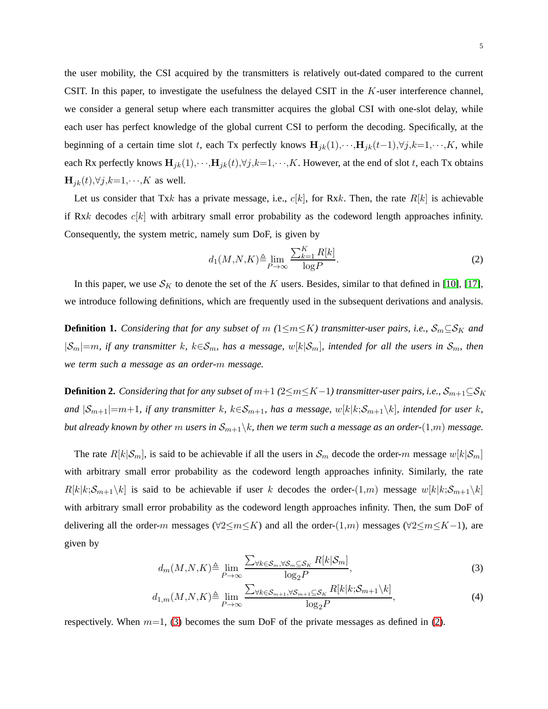the user mobility, the CSI acquired by the transmitters is relatively out-dated compared to the current CSIT. In this paper, to investigate the usefulness the delayed CSIT in the K-user interference channel, we consider a general setup where each transmitter acquires the global CSI with one-slot delay, while each user has perfect knowledge of the global current CSI to perform the decoding. Specifically, at the beginning of a certain time slot t, each Tx perfectly knows  $\mathbf{H}_{jk}(1),\cdots,\mathbf{H}_{jk}(t-1),\forall j,k=1,\cdots,K$ , while each Rx perfectly knows  $\mathbf{H}_{jk}(1),\cdots,\mathbf{H}_{jk}(t),\forall j,k=1,\cdots,K$ . However, at the end of slot t, each Tx obtains  $\mathbf{H}_{jk}(t),\forall j,k=1,\cdots,K$  as well.

Let us consider that Txk has a private message, i.e.,  $c[k]$ , for Rxk. Then, the rate  $R[k]$  is achievable if Rxk decodes  $c[k]$  with arbitrary small error probability as the codeword length approaches infinity. Consequently, the system metric, namely sum DoF, is given by

$$
d_1(M, N, K) \triangleq \lim_{P \to \infty} \frac{\sum_{k=1}^{K} R[k]}{\log P}.
$$
 (2)

In this paper, we use  $S_K$  to denote the set of the K users. Besides, similar to that defined in [\[10\]](#page-30-4), [\[17\]](#page-30-12), we introduce following definitions, which are frequently used in the subsequent derivations and analysis.

<span id="page-4-1"></span>**Definition 1.** *Considering that for any subset of*  $m$  ( $1 \le m \le K$ ) *transmitter-user pairs, i.e.,*  $S_m \subseteq S_K$  *and*  $|S_m|=m$ , if any transmitter k,  $k\in\mathcal{S}_m$ , has a message,  $w[k|\mathcal{S}_m]$ , intended for all the users in  $\mathcal{S}_m$ , then *we term such a message as an order-*m *message.*

<span id="page-4-2"></span>**Definition 2.** *Considering that for any subset of*  $m+1$  ( $2\leq m\leq K-1$ ) *transmitter-user pairs, i.e.,*  $S_{m+1}\subseteq S_K$ *and*  $|S_{m+1}|=m+1$ *, if any transmitter* k,  $k \in S_{m+1}$ *, has a message,*  $w[k|k;S_{m+1}\backslash k]$ *, intended for user* k*, but already known by other* m *users in*  $S_{m+1}\backslash k$ *, then we term such a message as an order-*(1,*m*) *message.* 

The rate  $R[k|\mathcal{S}_m]$ , is said to be achievable if all the users in  $\mathcal{S}_m$  decode the order-m message  $w[k|\mathcal{S}_m]$ with arbitrary small error probability as the codeword length approaches infinity. Similarly, the rate  $R[k|k;\mathcal{S}_{m+1}\backslash k]$  is said to be achievable if user k decodes the order- $(1,m)$  message  $w[k|k;\mathcal{S}_{m+1}\backslash k]$ with arbitrary small error probability as the codeword length approaches infinity. Then, the sum DoF of delivering all the order-m messages ( $\forall 2 \le m \le K$ ) and all the order-(1,m) messages ( $\forall 2 \le m \le K-1$ ), are given by

<span id="page-4-0"></span>
$$
d_m(M, N, K) \triangleq \lim_{P \to \infty} \frac{\sum_{\forall k \in \mathcal{S}_m, \forall \mathcal{S}_m \subseteq \mathcal{S}_K} R[k|\mathcal{S}_m]}{\log_2 P},\tag{3}
$$

$$
d_{1,m}(M,N,K) \triangleq \lim_{P \to \infty} \frac{\sum_{\forall k \in S_{m+1}, \forall S_{m+1} \subseteq S_K} R[k|k; S_{m+1} \setminus k]}{\log_2 P},\tag{4}
$$

respectively. When  $m=1$ , [\(3\)](#page-4-0) becomes the sum DoF of the private messages as defined in [\(2\)](#page-3-4).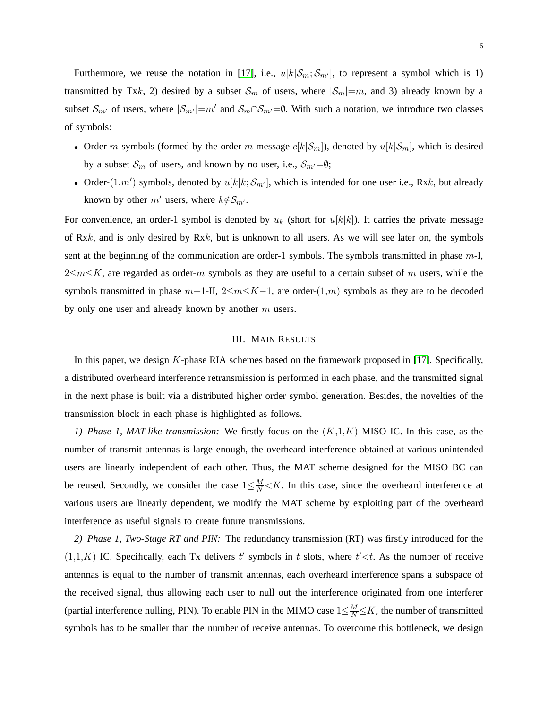Furthermore, we reuse the notation in [\[17\]](#page-30-12), i.e.,  $u[k|\mathcal{S}_m;\mathcal{S}_{m'}]$ , to represent a symbol which is 1) transmitted by Txk, 2) desired by a subset  $S_m$  of users, where  $|S_m|=m$ , and 3) already known by a subset  $\mathcal{S}_{m'}$  of users, where  $|\mathcal{S}_{m'}|=m'$  and  $\mathcal{S}_{m} \cap \mathcal{S}_{m'}=\emptyset$ . With such a notation, we introduce two classes of symbols:

- Order-m symbols (formed by the order-m message  $c[k|\mathcal{S}_m]$ ), denoted by  $u[k|\mathcal{S}_m]$ , which is desired by a subset  $S_m$  of users, and known by no user, i.e.,  $S_{m'}=\emptyset$ ;
- Order- $(1,m')$  symbols, denoted by  $u[k|k; S_{m'}]$ , which is intended for one user i.e., Rxk, but already known by other  $m'$  users, where  $k \notin \mathcal{S}_{m'}$ .

For convenience, an order-1 symbol is denoted by  $u_k$  (short for  $u[k|k]$ ). It carries the private message of Rxk, and is only desired by  $Rxk$ , but is unknown to all users. As we will see later on, the symbols sent at the beginning of the communication are order-1 symbols. The symbols transmitted in phase  $m$ -I,  $2\leq m\leq K$ , are regarded as order-m symbols as they are useful to a certain subset of m users, while the symbols transmitted in phase  $m+1$ -II,  $2 \le m \le K-1$ , are order- $(1,m)$  symbols as they are to be decoded by only one user and already known by another  $m$  users.

#### III. MAIN RESULTS

<span id="page-5-0"></span>In this paper, we design K-phase RIA schemes based on the framework proposed in [\[17\]](#page-30-12). Specifically, a distributed overheard interference retransmission is performed in each phase, and the transmitted signal in the next phase is built via a distributed higher order symbol generation. Besides, the novelties of the transmission block in each phase is highlighted as follows.

*1) Phase 1, MAT-like transmission:* We firstly focus on the (K,1,K) MISO IC. In this case, as the number of transmit antennas is large enough, the overheard interference obtained at various unintended users are linearly independent of each other. Thus, the MAT scheme designed for the MISO BC can be reused. Secondly, we consider the case  $1 \leq \frac{M}{N} < K$ . In this case, since the overheard interference at various users are linearly dependent, we modify the MAT scheme by exploiting part of the overheard interference as useful signals to create future transmissions.

*2) Phase 1, Two-Stage RT and PIN:* The redundancy transmission (RT) was firstly introduced for the  $(1,1,K)$  IC. Specifically, each Tx delivers t' symbols in t slots, where  $t' < t$ . As the number of receive antennas is equal to the number of transmit antennas, each overheard interference spans a subspace of the received signal, thus allowing each user to null out the interference originated from one interferer (partial interference nulling, PIN). To enable PIN in the MIMO case  $1 \leq \frac{M}{N} \leq K$ , the number of transmitted symbols has to be smaller than the number of receive antennas. To overcome this bottleneck, we design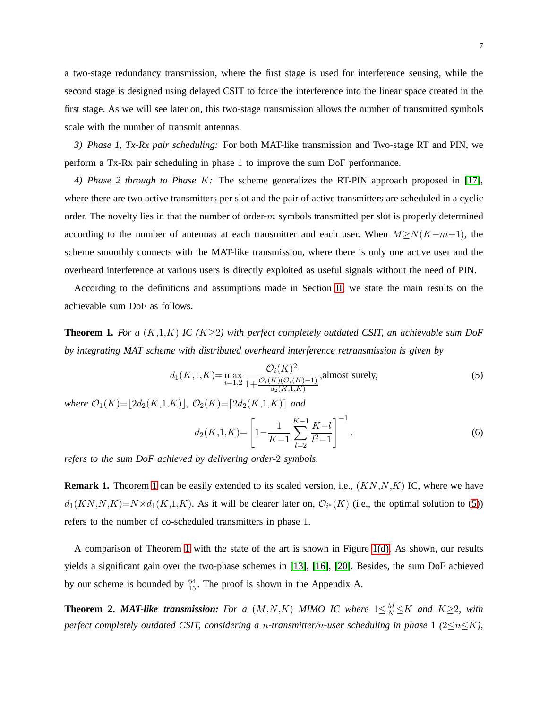a two-stage redundancy transmission, where the first stage is used for interference sensing, while the second stage is designed using delayed CSIT to force the interference into the linear space created in the first stage. As we will see later on, this two-stage transmission allows the number of transmitted symbols scale with the number of transmit antennas.

*3) Phase 1, Tx-Rx pair scheduling:* For both MAT-like transmission and Two-stage RT and PIN, we perform a Tx-Rx pair scheduling in phase 1 to improve the sum DoF performance.

*4) Phase 2 through to Phase* K*:* The scheme generalizes the RT-PIN approach proposed in [\[17\]](#page-30-12), where there are two active transmitters per slot and the pair of active transmitters are scheduled in a cyclic order. The novelty lies in that the number of order- $m$  symbols transmitted per slot is properly determined according to the number of antennas at each transmitter and each user. When  $M \ge N(K-m+1)$ , the scheme smoothly connects with the MAT-like transmission, where there is only one active user and the overheard interference at various users is directly exploited as useful signals without the need of PIN.

According to the definitions and assumptions made in Section [II,](#page-3-4) we state the main results on the achievable sum DoF as follows.

<span id="page-6-0"></span>**Theorem 1.** For a  $(K,1,K)$  IC  $(K \geq 2)$  with perfect completely outdated CSIT, an achievable sum DoF *by integrating MAT scheme with distributed overheard interference retransmission is given by*

$$
d_1(K,1,K) = \max_{i=1,2} \frac{\mathcal{O}_i(K)^2}{1 + \frac{\mathcal{O}_i(K)(\mathcal{O}_i(K) - 1)}{d_2(K,1,K)}}, \text{almost surely},\tag{5}
$$

*where*  $\mathcal{O}_1(K)=|2d_2(K,1,K)|$ ,  $\mathcal{O}_2(K)=|2d_2(K,1,K)|$  and

$$
d_2(K,1,K) = \left[1 - \frac{1}{K-1} \sum_{l=2}^{K-1} \frac{K-l}{l^2-1}\right]^{-1}.
$$
 (6)

*refers to the sum DoF achieved by delivering order-*2 *symbols.*

**Remark [1](#page-6-0).** Theorem 1 can be easily extended to its scaled version, i.e.,  $(KN, N, K)$  IC, where we have  $d_1(KN,N,K)=N\times d_1(K,1,K)$ . As it will be clearer later on,  $\mathcal{O}_{i^*}(K)$  (i.e., the optimal solution to [\(5\)](#page-6-0)) refers to the number of co-scheduled transmitters in phase 1.

A comparison of Theorem [1](#page-6-0) with the state of the art is shown in Figure [1\(d\).](#page-3-3) As shown, our results yields a significant gain over the two-phase schemes in [\[13\]](#page-30-7), [\[16\]](#page-30-9), [\[20\]](#page-30-13). Besides, the sum DoF achieved by our scheme is bounded by  $\frac{64}{15}$ . The proof is shown in the Appendix A.

<span id="page-6-1"></span>**Theorem 2. MAT-like transmission:** For a  $(M, N, K)$  MIMO IC where  $1 \leq \frac{M}{N} \leq K$  and  $K \geq 2$ , with *perfect completely outdated CSIT, considering a* n*-transmitter/*n*-user scheduling in phase* 1 *(*2≤n≤K*),*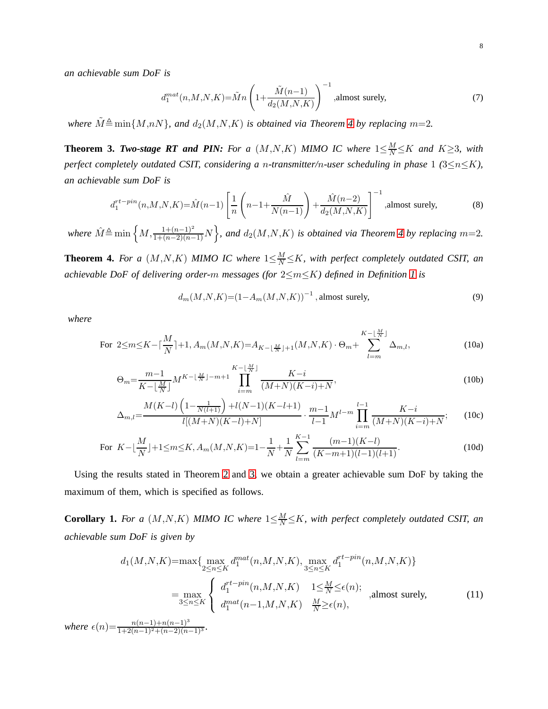*an achievable sum DoF is*

$$
d_1^{mat}(n, M, N, K) = \tilde{M}n \left(1 + \frac{\tilde{M}(n-1)}{d_2(M, N, K)}\right)^{-1}
$$
, almost surely, (7)

*where*  $\tilde{M} \triangleq \min\{M,nN\}$ , and  $d_2(M,N,K)$  *is obtained via Theorem [4](#page-7-0) by replacing*  $m=2$ .

<span id="page-7-1"></span>**Theorem 3.** *Two-stage RT and PIN: For a*  $(M, N, K)$  *MIMO IC where*  $1 \leq \frac{M}{N} \leq K$  *and*  $K \geq 3$ *, with perfect completely outdated CSIT, considering a* n*-transmitter/*n*-user scheduling in phase* 1 *(*3≤n≤K*), an achievable sum DoF is*

$$
d_1^{rt-pin}(n, M, N, K) = \hat{M}(n-1) \left[ \frac{1}{n} \left( n - 1 + \frac{\hat{M}}{N(n-1)} \right) + \frac{\hat{M}(n-2)}{d_2(M, N, K)} \right]^{-1}
$$
, almost surely, (8)

where  $\hat{M} \triangleq \min \left\{ M, \frac{1+(n-1)^2}{1+(n-2)(n-1)}N \right\}$ , and  $d_2(M,N,K)$  is obtained via Theorem [4](#page-7-0) by replacing  $m=2$ .

<span id="page-7-0"></span>**Theorem 4.** For a  $(M, N, K)$  MIMO IC where  $1 \leq \frac{M}{N} \leq K$ , with perfect completely outdated CSIT, an *achievable DoF of delivering order-*m *messages (for* 2≤m≤K*) defined in Definition [1](#page-4-1) is*

$$
d_m(M, N, K) = (1 - A_m(M, N, K))^{-1}
$$
, almost surely, (9)

*where*

For 
$$
2 \le m \le K - \lceil \frac{M}{N} \rceil + 1
$$
,  $A_m(M, N, K) = A_{K - \lfloor \frac{M}{N} \rfloor + 1}(M, N, K) \cdot \Theta_m + \sum_{l=m}^{K - \lfloor \frac{M}{N} \rfloor} \Delta_{m,l}$ , (10a)

$$
\Theta_m = \frac{m-1}{K - \lfloor \frac{M}{N} \rfloor} M^{K - \lfloor \frac{M}{N} \rfloor - m + 1} \prod_{i=m}^{K - \lfloor \frac{M}{N} \rfloor} \frac{K - i}{(M + N)(K - i) + N},\tag{10b}
$$

$$
\Delta_{m,l} = \frac{M(K-l)\left(1 - \frac{1}{N(l+1)}\right) + l(N-1)(K-l+1)}{l[(M+N)(K-l)+N]} \cdot \frac{m-1}{l-1}M^{l-m}\prod_{i=m}^{l-1}\frac{K-i}{(M+N)(K-i)+N};\tag{10c}
$$

For 
$$
K-\lfloor \frac{M}{N} \rfloor + 1 \le m \le K
$$
,  $A_m(M,N,K)=1-\frac{1}{N}+\frac{1}{N}\sum_{l=m}^{K-1} \frac{(m-1)(K-l)}{(K-m+1)(l-1)(l+1)}$ . (10d)

Using the results stated in Theorem [2](#page-6-1) and [3,](#page-7-1) we obtain a greater achievable sum DoF by taking the maximum of them, which is specified as follows.

<span id="page-7-2"></span>**Corollary 1.** For a  $(M, N, K)$  MIMO IC where  $1 \leq \frac{M}{N} \leq K$ , with perfect completely outdated CSIT, an *achievable sum DoF is given by*

$$
d_1(M, N, K) = \max\{\max_{2 \le n \le K} d_1^{mat}(n, M, N, K), \max_{3 \le n \le K} d_1^{rt - pin}(n, M, N, K)\}
$$
  
\n
$$
= \max_{3 \le n \le K} \begin{cases} d_1^{rt - pin}(n, M, N, K) & 1 \le \frac{M}{N} \le \epsilon(n); \\ d_1^{mat}(n-1, M, N, K) & \frac{M}{N} \ge \epsilon(n), \end{cases}
$$
, almost surely, (11)  
\n $n(n-1)+n(n-1)^3$ 

 $where \ \epsilon(n) = \frac{n(n-1)+n(n-1)^3}{1+2(n-1)^2+(n-2)(n-1)^3}.$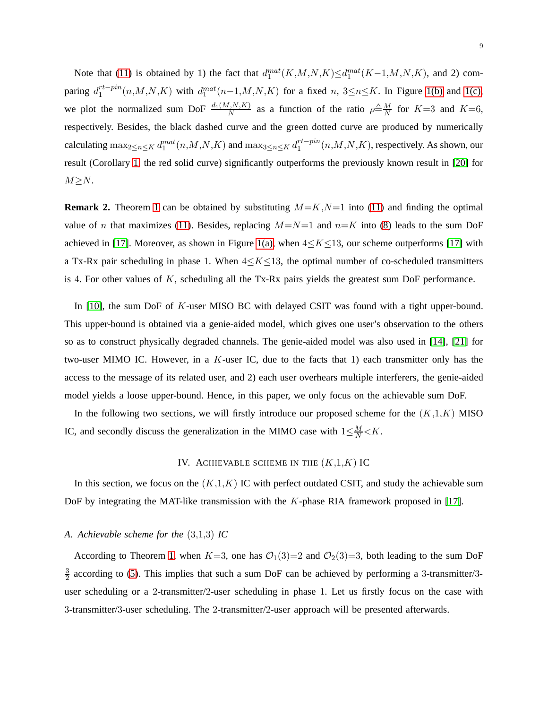Note that [\(11\)](#page-7-2) is obtained by 1) the fact that  $d_1^{mat}(K, M, N, K) \leq d_1^{mat}(K-1, M, N, K)$ , and 2) comparing  $d_1^{rt-pin}$  $n_1^{rt-pin}(n,M,N,K)$  with  $d_1^{mat}(n-1,M,N,K)$  for a fixed  $n, 3 \le n \le K$ . In Figure [1\(b\)](#page-3-1) and [1\(c\),](#page-3-2) we plot the normalized sum DoF  $\frac{d_1(M,N,K)}{N}$  as a function of the ratio  $\rho \triangleq \frac{M}{N}$  for  $K=3$  and  $K=6$ , respectively. Besides, the black dashed curve and the green dotted curve are produced by numerically calculating  $\max_{2\le n\le K} d_1^{mat} (n,M,N,K)$  and  $\max_{3\le n\le K} d_1^{rt-pin}$  $n_1^{rt-pnn}(n,M,N,K)$ , respectively. As shown, our result (Corollary [1,](#page-7-2) the red solid curve) significantly outperforms the previously known result in [\[20\]](#page-30-13) for  $M \geq N$ .

**Remark 2.** Theorem [1](#page-6-0) can be obtained by substituting  $M = K$ ,  $N = 1$  into [\(11\)](#page-7-2) and finding the optimal value of n that maximizes [\(11\)](#page-7-2). Besides, replacing  $M=N=1$  and  $n=K$  into [\(8\)](#page-7-1) leads to the sum DoF achieved in [\[17\]](#page-30-12). Moreover, as shown in Figure [1\(a\),](#page-3-0) when  $4 \le K \le 13$ , our scheme outperforms [17] with a Tx-Rx pair scheduling in phase 1. When  $4 \le K \le 13$ , the optimal number of co-scheduled transmitters is 4. For other values of  $K$ , scheduling all the Tx-Rx pairs yields the greatest sum DoF performance.

In [\[10\]](#page-30-4), the sum DoF of K-user MISO BC with delayed CSIT was found with a tight upper-bound. This upper-bound is obtained via a genie-aided model, which gives one user's observation to the others so as to construct physically degraded channels. The genie-aided model was also used in [\[14\]](#page-30-14), [\[21\]](#page-30-15) for two-user MIMO IC. However, in a  $K$ -user IC, due to the facts that 1) each transmitter only has the access to the message of its related user, and 2) each user overhears multiple interferers, the genie-aided model yields a loose upper-bound. Hence, in this paper, we only focus on the achievable sum DoF.

<span id="page-8-0"></span>In the following two sections, we will firstly introduce our proposed scheme for the  $(K,1,K)$  MISO IC, and secondly discuss the generalization in the MIMO case with  $1 \leq \frac{M}{N} < K$ .

#### IV. ACHIEVABLE SCHEME IN THE  $(K,1,K)$  IC

In this section, we focus on the  $(K,1,K)$  IC with perfect outdated CSIT, and study the achievable sum DoF by integrating the MAT-like transmission with the K-phase RIA framework proposed in [\[17\]](#page-30-12).

#### *A. Achievable scheme for the* (3,1,3) *IC*

According to Theorem [1,](#page-6-0) when  $K=3$ , one has  $\mathcal{O}_1(3)=2$  and  $\mathcal{O}_2(3)=3$ , both leading to the sum DoF 3  $\frac{3}{2}$  according to [\(5\)](#page-6-0). This implies that such a sum DoF can be achieved by performing a 3-transmitter/3user scheduling or a 2-transmitter/2-user scheduling in phase 1. Let us firstly focus on the case with 3-transmitter/3-user scheduling. The 2-transmitter/2-user approach will be presented afterwards.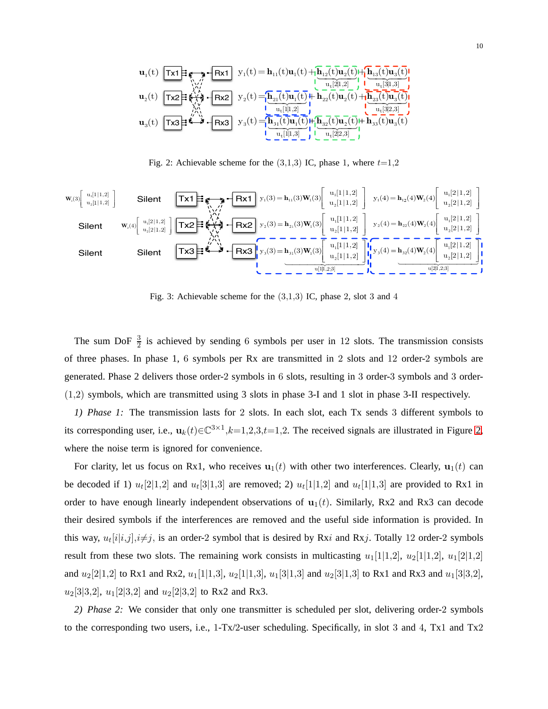$$
\mathbf{u}_1(t)\underbrace{\fbox{\textbf{Tx1}}}_{\textbf{Tx2}}\underbrace{\fbox{\textbf{Tx1}}}_{\textbf{Tx3}}\underbrace{\fbox{\textbf{Fx1}}}_{\textbf{Tx4}}\underbrace{y_1(t)}_{\textbf{Tx5}}=\underbrace{\mathbf{h}_{11}(t)\mathbf{u}_1(t)}_{\textbf{Tx2}(t)\mathbf{u}_1(t)}+\underbrace{\mathbf{h}_{12}(t)\mathbf{u}_2(t)}_{\textbf{u}_t[2|1,2]}\underbrace{\mathbf{h}_{13}(t)\mathbf{u}_3(t)}_{\textbf{u}_t[3|1,3]}\underbrace{\mathbf{h}_{13}(t)\mathbf{u}_3(t)}_{\textbf{u}_t[3|1,3]}\underbrace{\mathbf{h}_{12}(t)\mathbf{u}_1(t)}_{\textbf{u}_2(t)\mathbf{u}_2(t)}+\underbrace{\mathbf{h}_{23}(t)\mathbf{u}_3(t)}_{\textbf{u}_3(t)\mathbf{u}_3(t)}\\ \underbrace{\mathbf{h}_{23}(t)\mathbf{u}_2(t)}_{\textbf{u}_4[3|2,3]}\underbrace{\mathbf{h}_{23}(t)\mathbf{u}_3(t)}_{\textbf{u}_5[1]\mathbf{u}_2(t)\mathbf{u}_1(t)}+\underbrace{\mathbf{h}_{32}(t)\mathbf{u}_2(t)}_{\textbf{u}_4[2|2,3]}\underbrace{\mathbf{h}_{33}(t)\mathbf{u}_3(t)}_{\textbf{u}_5[1]\mathbf{u}_3(t)}
$$

<span id="page-9-0"></span>Fig. 2: Achievable scheme for the  $(3,1,3)$  IC, phase 1, where  $t=1,2$ 



<span id="page-9-1"></span>Fig. 3: Achievable scheme for the  $(3,1,3)$  IC, phase 2, slot 3 and 4

The sum DoF  $\frac{3}{2}$  is achieved by sending 6 symbols per user in 12 slots. The transmission consists of three phases. In phase 1, 6 symbols per Rx are transmitted in 2 slots and 12 order-2 symbols are generated. Phase 2 delivers those order-2 symbols in 6 slots, resulting in 3 order-3 symbols and 3 order- (1,2) symbols, which are transmitted using 3 slots in phase 3-I and 1 slot in phase 3-II respectively.

*1) Phase 1:* The transmission lasts for 2 slots. In each slot, each Tx sends 3 different symbols to its corresponding user, i.e.,  $\mathbf{u}_k(t) \in \mathbb{C}^{3 \times 1}, k=1,2,3, t=1,2$ . The received signals are illustrated in Figure [2,](#page-9-0) where the noise term is ignored for convenience.

For clarity, let us focus on Rx1, who receives  $\mathbf{u}_1(t)$  with other two interferences. Clearly,  $\mathbf{u}_1(t)$  can be decoded if 1)  $u_t[2|1,2]$  and  $u_t[3|1,3]$  are removed; 2)  $u_t[1|1,2]$  and  $u_t[1|1,3]$  are provided to Rx1 in order to have enough linearly independent observations of  $\mathbf{u}_1(t)$ . Similarly, Rx2 and Rx3 can decode their desired symbols if the interferences are removed and the useful side information is provided. In this way,  $u_t[i|i,j], i \neq j$ , is an order-2 symbol that is desired by Rxi and Rxj. Totally 12 order-2 symbols result from these two slots. The remaining work consists in multicasting  $u_1[1|1,2], u_2[1|1,2], u_1[2|1,2]$ and  $u_2[2|1,2]$  to Rx1 and Rx2,  $u_1[1|1,3]$ ,  $u_2[1|1,3]$ ,  $u_1[3|1,3]$  and  $u_2[3|1,3]$  to Rx1 and Rx3 and  $u_1[3|3,2]$ ,  $u_2[3|3,2], u_1[2|3,2]$  and  $u_2[2|3,2]$  to Rx2 and Rx3.

<span id="page-9-2"></span>*2) Phase 2:* We consider that only one transmitter is scheduled per slot, delivering order-2 symbols to the corresponding two users, i.e.,  $1-Tx/2$ -user scheduling. Specifically, in slot 3 and 4, Tx1 and Tx2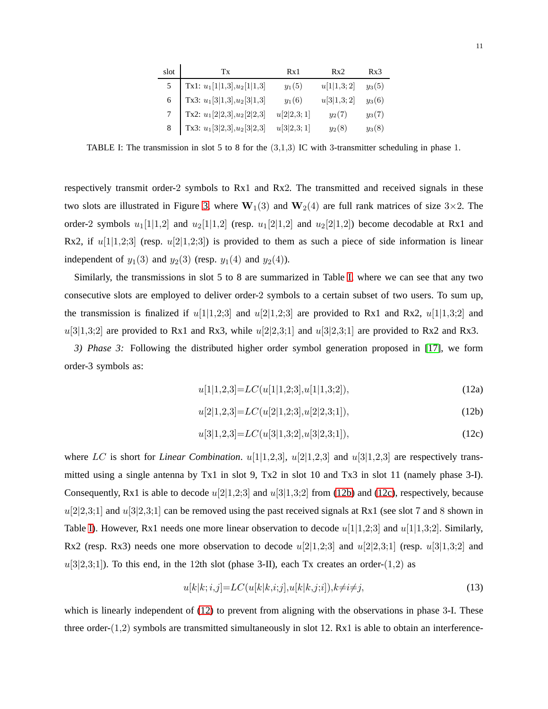| slot | Tx                                                                                                                                                            | Rx1        | Rx2        | Rx3      |
|------|---------------------------------------------------------------------------------------------------------------------------------------------------------------|------------|------------|----------|
|      | 5   Tx1: $u_1[1 1,3], u_2[1 1,3]$                                                                                                                             | $y_1(5)$   | u[1 1,3;2] | $y_3(5)$ |
|      | $\begin{aligned} \text{Tx3: } &{u_1}[3 1,3],{u_2}[3 1,3] \\ \text{Tx2: } &{u_1}[2 2,3],{u_2}[2 2,3] \\ \text{Tx3: } &{u_1}[3 2,3],{u_2}[3 2,3] \end{aligned}$ | $y_1(6)$   | u[3 1,3;2] | $y_3(6)$ |
|      |                                                                                                                                                               | u[2 2,3;1] | $y_2(7)$   | $y_3(7)$ |
|      |                                                                                                                                                               | u[3 2,3;1] | $y_2(8)$   | $y_3(8)$ |

<span id="page-10-0"></span>TABLE I: The transmission in slot 5 to 8 for the (3,1,3) IC with 3-transmitter scheduling in phase 1.

respectively transmit order-2 symbols to Rx1 and Rx2. The transmitted and received signals in these two slots are illustrated in Figure [3,](#page-9-1) where  $W_1(3)$  and  $W_2(4)$  are full rank matrices of size 3×2. The order-2 symbols  $u_1[1|1,2]$  and  $u_2[1|1,2]$  (resp.  $u_1[2|1,2]$  and  $u_2[2|1,2]$ ) become decodable at Rx1 and Rx2, if  $u[1]1,2;3$  (resp.  $u[2]1,2;3$ ) is provided to them as such a piece of side information is linear independent of  $y_1(3)$  and  $y_2(3)$  (resp.  $y_1(4)$  and  $y_2(4)$ ).

Similarly, the transmissions in slot 5 to 8 are summarized in Table [I,](#page-10-0) where we can see that any two consecutive slots are employed to deliver order-2 symbols to a certain subset of two users. To sum up, the transmission is finalized if  $u[1|1,2;3]$  and  $u[2|1,2;3]$  are provided to Rx1 and Rx2,  $u[1|1,3;2]$  and  $u[3|1,3;2]$  are provided to Rx1 and Rx3, while  $u[2|2,3;1]$  and  $u[3|2,3;1]$  are provided to Rx2 and Rx3.

<span id="page-10-1"></span>*3) Phase 3:* Following the distributed higher order symbol generation proposed in [\[17\]](#page-30-12), we form order-3 symbols as:

$$
u[1|1,2,3] = LC(u[1|1,2;3], u[1|1,3;2]),
$$
\n
$$
(12a)
$$

$$
u[2|1,2,3] = LC(u[2|1,2;3], u[2|2,3;1]),
$$
\n
$$
(12b)
$$

$$
u[3|1,2,3] = LC(u[3|1,3;2], u[3|2,3;1]),
$$
\n
$$
(12c)
$$

where LC is short for *Linear Combination*.  $u[1|1,2,3]$ ,  $u[2|1,2,3]$  and  $u[3|1,2,3]$  are respectively transmitted using a single antenna by Tx1 in slot 9, Tx2 in slot 10 and Tx3 in slot 11 (namely phase 3-I). Consequently, Rx1 is able to decode  $u[2|1,2;3]$  and  $u[3|1,3;2]$  from [\(12b\)](#page-10-1) and [\(12c\)](#page-10-1), respectively, because  $u[2|2,3;1]$  and  $u[3|2,3;1]$  can be removed using the past received signals at Rx1 (see slot 7 and 8 shown in Table [I\)](#page-10-0). However, Rx1 needs one more linear observation to decode  $u[1|1,2;3]$  and  $u[1|1,3;2]$ . Similarly, Rx2 (resp. Rx3) needs one more observation to decode  $u[2|1,2;3]$  and  $u[2|2,3;1]$  (resp.  $u[3|1,3;2]$  and  $u[3|2,3;1]$ ). To this end, in the 12th slot (phase 3-II), each Tx creates an order-(1,2) as

$$
u[k|k;i,j] = LC(u[k|k;i;j], u[k|k,j;i]), k \neq i \neq j,
$$
\n
$$
(13)
$$

which is linearly independent of  $(12)$  to prevent from aligning with the observations in phase 3-I. These three order- $(1,2)$  symbols are transmitted simultaneously in slot 12. Rx1 is able to obtain an interference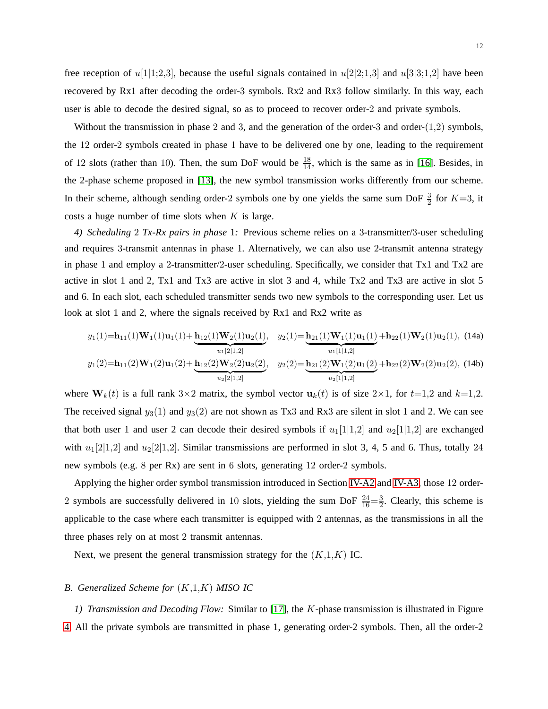free reception of  $u[1]$ 1;2,3], because the useful signals contained in  $u[2]$ 2;1,3] and  $u[3]$ 3;1,2] have been recovered by Rx1 after decoding the order-3 symbols. Rx2 and Rx3 follow similarly. In this way, each user is able to decode the desired signal, so as to proceed to recover order-2 and private symbols.

Without the transmission in phase 2 and 3, and the generation of the order-3 and order- $(1,2)$  symbols, the 12 order-2 symbols created in phase 1 have to be delivered one by one, leading to the requirement of 12 slots (rather than 10). Then, the sum DoF would be  $\frac{18}{14}$ , which is the same as in [\[16\]](#page-30-9). Besides, in the 2-phase scheme proposed in [\[13\]](#page-30-7), the new symbol transmission works differently from our scheme. In their scheme, although sending order-2 symbols one by one yields the same sum DoF  $\frac{3}{2}$  for  $K=3$ , it costs a huge number of time slots when  $K$  is large.

*4) Scheduling* 2 *Tx-Rx pairs in phase* 1*:* Previous scheme relies on a 3-transmitter/3-user scheduling and requires 3-transmit antennas in phase 1. Alternatively, we can also use 2-transmit antenna strategy in phase 1 and employ a 2-transmitter/2-user scheduling. Specifically, we consider that Tx1 and Tx2 are active in slot 1 and 2, Tx1 and Tx3 are active in slot 3 and 4, while Tx2 and Tx3 are active in slot 5 and 6. In each slot, each scheduled transmitter sends two new symbols to the corresponding user. Let us look at slot 1 and 2, where the signals received by Rx1 and Rx2 write as

$$
y_1(1) = \mathbf{h}_{11}(1)\mathbf{W}_1(1)\mathbf{u}_1(1) + \underbrace{\mathbf{h}_{12}(1)\mathbf{W}_2(1)\mathbf{u}_2(1)}_{u_1[2|1,2]}, \quad y_2(1) = \underbrace{\mathbf{h}_{21}(1)\mathbf{W}_1(1)\mathbf{u}_1(1)}_{u_1[1|1,2]} + \mathbf{h}_{22}(1)\mathbf{W}_2(1)\mathbf{u}_2(1), \quad (14a)
$$
\n
$$
y_1(2) = \mathbf{h}_{11}(2)\mathbf{W}_1(2)\mathbf{u}_1(2) + \underbrace{\mathbf{h}_{12}(2)\mathbf{W}_2(2)\mathbf{u}_2(2)}_{u_2[2|1,2]}, \quad y_2(2) = \underbrace{\mathbf{h}_{21}(2)\mathbf{W}_1(2)\mathbf{u}_1(2)}_{u_2[1|1,2]} + \mathbf{h}_{22}(2)\mathbf{W}_2(2)\mathbf{u}_2(2), \quad (14b)
$$

where  $W_k(t)$  is a full rank  $3\times 2$  matrix, the symbol vector  $u_k(t)$  is of size  $2\times 1$ , for  $t=1,2$  and  $k=1,2$ . The received signal  $y_3(1)$  and  $y_3(2)$  are not shown as Tx3 and Rx3 are silent in slot 1 and 2. We can see that both user 1 and user 2 can decode their desired symbols if  $u_1[1|1,2]$  and  $u_2[1|1,2]$  are exchanged with  $u_1[2|1,2]$  and  $u_2[2|1,2]$ . Similar transmissions are performed in slot 3, 4, 5 and 6. Thus, totally 24 new symbols (e.g. 8 per Rx) are sent in 6 slots, generating 12 order-2 symbols.

Applying the higher order symbol transmission introduced in Section [IV-A2](#page-9-2) and [IV-A3,](#page-10-1) those 12 order-2 symbols are successfully delivered in 10 slots, yielding the sum DoF  $\frac{24}{16} = \frac{3}{2}$  $\frac{3}{2}$ . Clearly, this scheme is applicable to the case where each transmitter is equipped with 2 antennas, as the transmissions in all the three phases rely on at most 2 transmit antennas.

Next, we present the general transmission strategy for the  $(K,1,K)$  IC.

#### <span id="page-11-0"></span>*B. Generalized Scheme for* (K,1,K) *MISO IC*

*1) Transmission and Decoding Flow:* Similar to [\[17\]](#page-30-12), the K-phase transmission is illustrated in Figure [4.](#page-12-0) All the private symbols are transmitted in phase 1, generating order-2 symbols. Then, all the order-2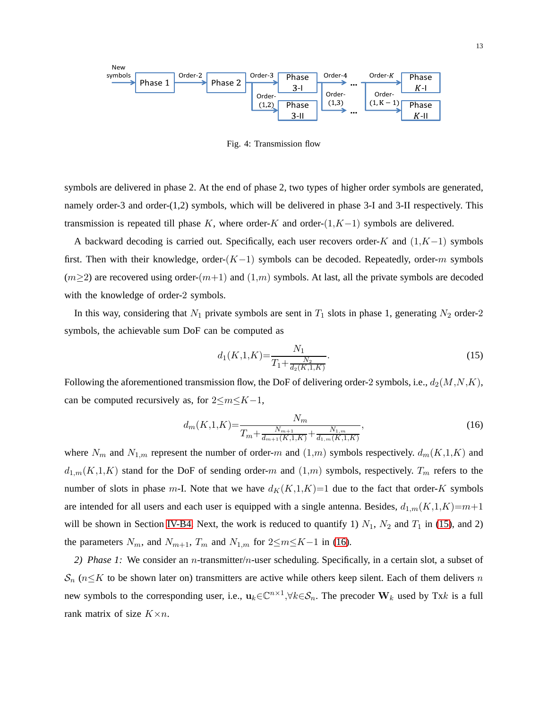

<span id="page-12-0"></span>Fig. 4: Transmission flow

symbols are delivered in phase 2. At the end of phase 2, two types of higher order symbols are generated, namely order-3 and order-(1,2) symbols, which will be delivered in phase 3-I and 3-II respectively. This transmission is repeated till phase K, where order-K and order- $(1,K-1)$  symbols are delivered.

A backward decoding is carried out. Specifically, each user recovers order-K and  $(1,K-1)$  symbols first. Then with their knowledge, order- $(K-1)$  symbols can be decoded. Repeatedly, order-m symbols  $(m\geq 2)$  are recovered using order- $(m+1)$  and  $(1,m)$  symbols. At last, all the private symbols are decoded with the knowledge of order-2 symbols.

In this way, considering that  $N_1$  private symbols are sent in  $T_1$  slots in phase 1, generating  $N_2$  order-2 symbols, the achievable sum DoF can be computed as

$$
d_1(K,1,K) = \frac{N_1}{T_1 + \frac{N_2}{d_2(K,1,K)}}.\tag{15}
$$

Following the aforementioned transmission flow, the DoF of delivering order-2 symbols, i.e.,  $d_2(M,N,K)$ , can be computed recursively as, for  $2 \le m \le K-1$ ,

$$
d_m(K,1,K) = \frac{N_m}{T_m + \frac{N_{m+1}}{d_{m+1}(K,1,K)} + \frac{N_{1,m}}{d_{1,m}(K,1,K)}},
$$
\n(16)

where  $N_m$  and  $N_{1,m}$  represent the number of order-m and  $(1,m)$  symbols respectively.  $d_m(K,1,K)$  and  $d_{1,m}(K,1,K)$  stand for the DoF of sending order-m and  $(1,m)$  symbols, respectively.  $T_m$  refers to the number of slots in phase m-I. Note that we have  $d_K(K,1,K)=1$  due to the fact that order-K symbols are intended for all users and each user is equipped with a single antenna. Besides,  $d_{1,m}(K,1,K)=m+1$ will be shown in Section [IV-B4.](#page-14-0) Next, the work is reduced to quantify 1)  $N_1$ ,  $N_2$  and  $T_1$  in [\(15\)](#page-11-0), and 2) the parameters  $N_m$ , and  $N_{m+1}$ ,  $T_m$  and  $N_{1,m}$  for  $2 \le m \le K-1$  in [\(16\)](#page-11-0).

*2) Phase 1:* We consider an n-transmitter/n-user scheduling. Specifically, in a certain slot, a subset of  $S_n$  ( $n \leq K$  to be shown later on) transmitters are active while others keep silent. Each of them delivers n new symbols to the corresponding user, i.e.,  $\mathbf{u}_k \in \mathbb{C}^{n \times 1}, \forall k \in \mathcal{S}_n$ . The precoder  $\mathbf{W}_k$  used by Txk is a full rank matrix of size  $K \times n$ .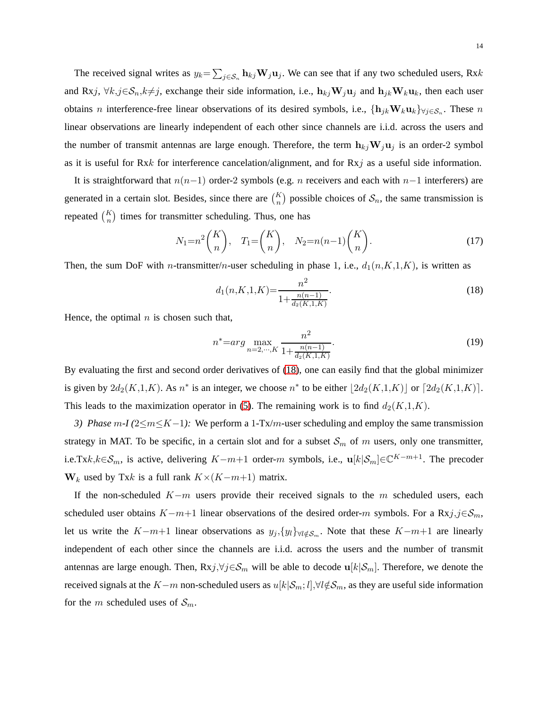The received signal writes as  $y_k = \sum_{j \in S_n} \mathbf{h}_{kj} \mathbf{W}_j \mathbf{u}_j$ . We can see that if any two scheduled users, Rxk and Rxj,  $\forall k, j \in \mathcal{S}_n, k \neq j$ , exchange their side information, i.e.,  $h_{kj}W_ju_j$  and  $h_{jk}W_ku_k$ , then each user obtains *n* interference-free linear observations of its desired symbols, i.e.,  $\{h_{jk}W_ku_k\}_{\forall j\in\mathcal{S}_n}$ . These *n* linear observations are linearly independent of each other since channels are i.i.d. across the users and the number of transmit antennas are large enough. Therefore, the term  $h_{ki}W_ju_j$  is an order-2 symbol as it is useful for Rxk for interference cancelation/alignment, and for Rxj as a useful side information.

It is straightforward that  $n(n-1)$  order-2 symbols (e.g. *n* receivers and each with  $n-1$  interferers) are generated in a certain slot. Besides, since there are  $\binom{K}{n}$  possible choices of  $S_n$ , the same transmission is repeated  $\binom{K}{n}$  times for transmitter scheduling. Thus, one has

$$
N_1 = n^2 \binom{K}{n}, \quad T_1 = \binom{K}{n}, \quad N_2 = n(n-1) \binom{K}{n}.
$$
 (17)

Then, the sum DoF with *n*-transmitter/*n*-user scheduling in phase 1, i.e.,  $d_1(n,K,1,K)$ , is written as

<span id="page-13-0"></span>
$$
d_1(n,K,1,K) = \frac{n^2}{1 + \frac{n(n-1)}{d_2(K,1,K)}}.\tag{18}
$$

Hence, the optimal  $n$  is chosen such that,

$$
n^* = arg \max_{n=2,\cdots,K} \frac{n^2}{1 + \frac{n(n-1)}{d_2(K,1,K)}}.
$$
\n(19)

By evaluating the first and second order derivatives of [\(18\)](#page-13-0), one can easily find that the global minimizer is given by  $2d_2(K,1,K)$ . As  $n^*$  is an integer, we choose  $n^*$  to be either  $\lfloor 2d_2(K,1,K) \rfloor$  or  $\lceil 2d_2(K,1,K) \rceil$ . This leads to the maximization operator in [\(5\)](#page-6-0). The remaining work is to find  $d_2(K,1,K)$ .

<span id="page-13-1"></span>*3) Phase m-I (2≤m≤K-1):* We perform a 1-Tx/m-user scheduling and employ the same transmission strategy in MAT. To be specific, in a certain slot and for a subset  $S_m$  of m users, only one transmitter, i.e.Tx $k, k \in \mathcal{S}_m$ , is active, delivering  $K-m+1$  order-m symbols, i.e.,  $\mathbf{u}[k|\mathcal{S}_m] \in \mathbb{C}^{K-m+1}$ . The precoder  $W_k$  used by Txk is a full rank  $K\times (K-m+1)$  matrix.

If the non-scheduled  $K-m$  users provide their received signals to the m scheduled users, each scheduled user obtains  $K-m+1$  linear observations of the desired order-m symbols. For a Rxj,j∈S<sub>m</sub>, let us write the K-m+1 linear observations as  $y_j$ ,  $\{y_l\}_{\forall l \notin S_m}$ . Note that these K-m+1 are linearly independent of each other since the channels are i.i.d. across the users and the number of transmit antennas are large enough. Then,  $Rxj, \forall j \in S_m$  will be able to decode  $\mathbf{u}[k|S_m]$ . Therefore, we denote the received signals at the K−m non-scheduled users as  $u[k|S_m; l], \forall l \notin S_m$ , as they are useful side information for the m scheduled uses of  $S_m$ .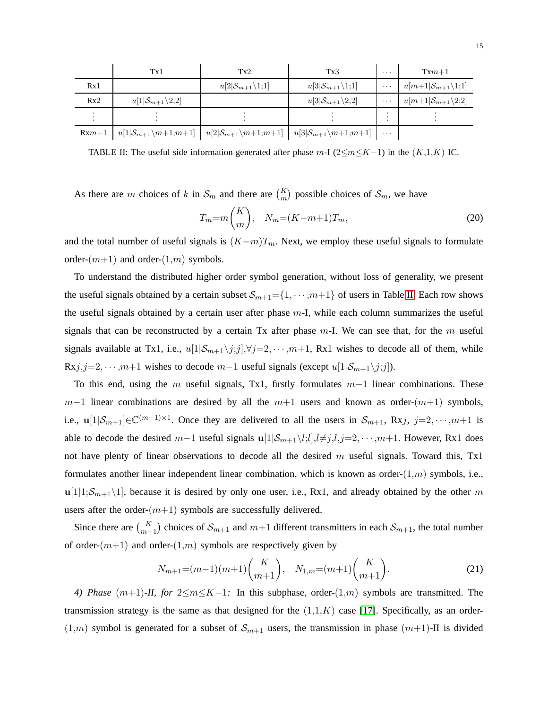|     | Tx1                                                                                                                                                                                                      | Tx2                                    | Tx3                                    | $\cdots$ | $Txm+1$                                      |
|-----|----------------------------------------------------------------------------------------------------------------------------------------------------------------------------------------------------------|----------------------------------------|----------------------------------------|----------|----------------------------------------------|
| Rx1 |                                                                                                                                                                                                          | $u[2 \mathcal{S}_{m+1}\backslash 1;1]$ | $u[3 \mathcal{S}_{m+1}\backslash 1;1]$ | $\cdots$ | $u[m+1] \mathcal{S}_{m+1} \setminus \{1,1\}$ |
| Rx2 | $u[1 \mathcal{S}_{m+1}\backslash 2;2]$                                                                                                                                                                   |                                        | $u[3 \mathcal{S}_{m+1}\backslash 2;2]$ | $\cdots$ | $u[m+1 S_{m+1}\backslash 2;2]$               |
|     |                                                                                                                                                                                                          |                                        |                                        |          |                                              |
|     | $\mathbb{R}^{mn+1} \left[ u[1] \mathcal{S}_{m+1} \backslash m+1; m+1 \right] \left[ u[2] \mathcal{S}_{m+1} \backslash m+1; m+1 \right] \left[ u[3] \mathcal{S}_{m+1} \backslash m+1; m+1 \right] \cdots$ |                                        |                                        |          |                                              |

<span id="page-14-1"></span>TABLE II: The useful side information generated after phase m-I ( $2 \le m \le K-1$ ) in the  $(K,1,K)$  IC.

As there are m choices of k in  $\mathcal{S}_m$  and there are  $\binom{K}{m}$  possible choices of  $\mathcal{S}_m$ , we have

$$
T_m = m\binom{K}{m}, \quad N_m = (K - m + 1)T_m,\tag{20}
$$

and the total number of useful signals is  $(K-m)T_m$ . Next, we employ these useful signals to formulate order- $(m+1)$  and order- $(1,m)$  symbols.

To understand the distributed higher order symbol generation, without loss of generality, we present the useful signals obtained by a certain subset  $S_{m+1} = \{1, \dots, m+1\}$  of users in Table [II.](#page-14-1) Each row shows the useful signals obtained by a certain user after phase m-I, while each column summarizes the useful signals that can be reconstructed by a certain Tx after phase  $m-1$ . We can see that, for the m useful signals available at Tx1, i.e.,  $u[1|\mathcal{S}_{m+1}\backslash j;j],\forall j=2,\cdots,m+1$ , Rx1 wishes to decode all of them, while Rxj,j=2,  $\cdots$ , $m+1$  wishes to decode  $m-1$  useful signals (except  $u[1|\mathcal{S}_{m+1}\backslash j;j]$ ).

To this end, using the m useful signals, Tx1, firstly formulates  $m-1$  linear combinations. These  $m-1$  linear combinations are desired by all the  $m+1$  users and known as order- $(m+1)$  symbols, i.e.,  $\mathbf{u}[1|\mathcal{S}_{m+1}] \in \mathbb{C}^{(m-1)\times 1}$ . Once they are delivered to all the users in  $\mathcal{S}_{m+1}$ , Rxj, j=2, ..., m+1 is able to decode the desired m−1 useful signals  $\mathbf{u}[1|\mathcal{S}_{m+1}\setminus l;l],l\neq j,l,j=2,\cdots,m+1$ . However, Rx1 does not have plenty of linear observations to decode all the desired  $m$  useful signals. Toward this, Tx1 formulates another linear independent linear combination, which is known as order- $(1,m)$  symbols, i.e.,  $u[1|1;S_{m+1}\setminus 1]$ , because it is desired by only one user, i.e., Rx1, and already obtained by the other m users after the order- $(m+1)$  symbols are successfully delivered.

Since there are  $\binom{K}{m+1}$  choices of  $\mathcal{S}_{m+1}$  and  $m+1$  different transmitters in each  $\mathcal{S}_{m+1}$ , the total number of order- $(m+1)$  and order- $(1,m)$  symbols are respectively given by

$$
N_{m+1} = (m-1)(m+1) {K \choose m+1}, \quad N_{1,m} = (m+1) {K \choose m+1}.
$$
 (21)

<span id="page-14-0"></span>*4) Phase* (m+1)*-II, for* 2≤m≤K-1: In this subphase, order-(1,m) symbols are transmitted. The transmission strategy is the same as that designed for the  $(1,1,K)$  case [\[17\]](#page-30-12). Specifically, as an order- $(1,m)$  symbol is generated for a subset of  $S_{m+1}$  users, the transmission in phase  $(m+1)$ -II is divided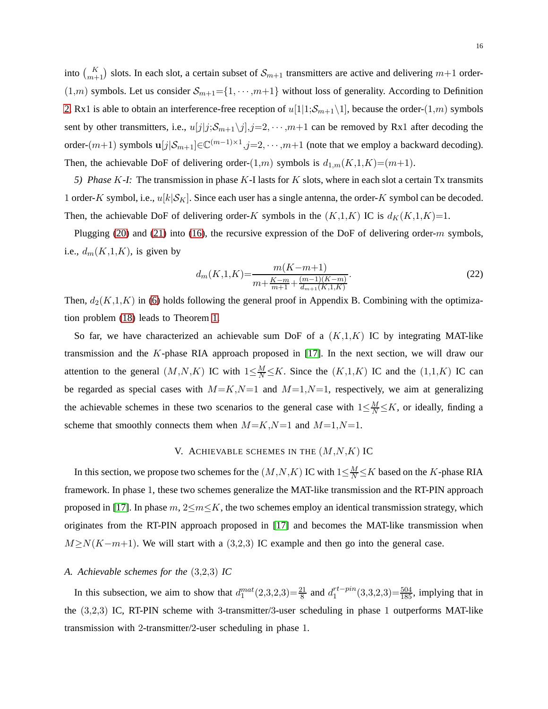into  $\binom{K}{m+1}$  slots. In each slot, a certain subset of  $\mathcal{S}_{m+1}$  transmitters are active and delivering  $m+1$  order- $(1,m)$  symbols. Let us consider  $\mathcal{S}_{m+1} = \{1, \cdots, m+1\}$  without loss of generality. According to Definition [2,](#page-4-2) Rx1 is able to obtain an interference-free reception of  $u[1|1;S_{m+1}\setminus 1]$ , because the order- $(1,m)$  symbols sent by other transmitters, i.e.,  $u[j|j;S_{m+1}\backslash j],j=2,\cdots,m+1$  can be removed by Rx1 after decoding the order- $(m+1)$  symbols  $\mathbf{u}[j|\mathcal{S}_{m+1}] \in \mathbb{C}^{(m-1)\times 1}, j=2,\dots, m+1$  (note that we employ a backward decoding). Then, the achievable DoF of delivering order- $(1,m)$  symbols is  $d_{1,m}(K,1,K)=(m+1)$ .

<span id="page-15-2"></span>*5) Phase* K*-I:* The transmission in phase K-I lasts for K slots, where in each slot a certain Tx transmits 1 order-K symbol, i.e.,  $u[k|\mathcal{S}_K]$ . Since each user has a single antenna, the order-K symbol can be decoded. Then, the achievable DoF of delivering order-K symbols in the  $(K,1,K)$  IC is  $d_K(K,1,K)=1$ .

Plugging [\(20\)](#page-13-1) and [\(21\)](#page-14-1) into [\(16\)](#page-11-0), the recursive expression of the DoF of delivering order-m symbols, i.e.,  $d_m(K,1,K)$ , is given by

$$
d_m(K,1,K) = \frac{m(K-m+1)}{m + \frac{K-m}{m+1} + \frac{(m-1)(K-m)}{d_{m+1}(K,1,K)}}.\tag{22}
$$

Then,  $d_2(K,1,K)$  in [\(6\)](#page-6-0) holds following the general proof in Appendix B. Combining with the optimization problem [\(18\)](#page-13-0) leads to Theorem [1.](#page-6-0)

So far, we have characterized an achievable sum DoF of a  $(K,1,K)$  IC by integrating MAT-like transmission and the K-phase RIA approach proposed in [\[17\]](#page-30-12). In the next section, we will draw our attention to the general  $(M, N, K)$  IC with  $1 \leq \frac{M}{N} \leq K$ . Since the  $(K, 1, K)$  IC and the  $(1, 1, K)$  IC can be regarded as special cases with  $M=K,N=1$  and  $M=1,N=1$ , respectively, we aim at generalizing the achievable schemes in these two scenarios to the general case with  $1 \leq \frac{M}{N} \leq K$ , or ideally, finding a scheme that smoothly connects them when  $M=K,N=1$  and  $M=1,N=1$ .

# V. ACHIEVABLE SCHEMES IN THE  $(M, N, K)$  IC

<span id="page-15-0"></span>In this section, we propose two schemes for the  $(M, N, K)$  IC with  $1 \le \frac{M}{N} \le K$  based on the K-phase RIA framework. In phase 1, these two schemes generalize the MAT-like transmission and the RT-PIN approach proposed in [\[17\]](#page-30-12). In phase  $m, 2 \le m \le K$ , the two schemes employ an identical transmission strategy, which originates from the RT-PIN approach proposed in [\[17\]](#page-30-12) and becomes the MAT-like transmission when  $M \ge N(K-m+1)$ . We will start with a (3,2,3) IC example and then go into the general case.

### <span id="page-15-1"></span>*A. Achievable schemes for the* (3,2,3) *IC*

In this subsection, we aim to show that  $d_1^{mat}(2,3,2,3) = \frac{21}{8}$  and  $d_1^{rt-pin}$  $1^{rt-pin}(3,3,2,3)=\frac{504}{185}$ , implying that in the (3,2,3) IC, RT-PIN scheme with 3-transmitter/3-user scheduling in phase 1 outperforms MAT-like transmission with 2-transmitter/2-user scheduling in phase 1.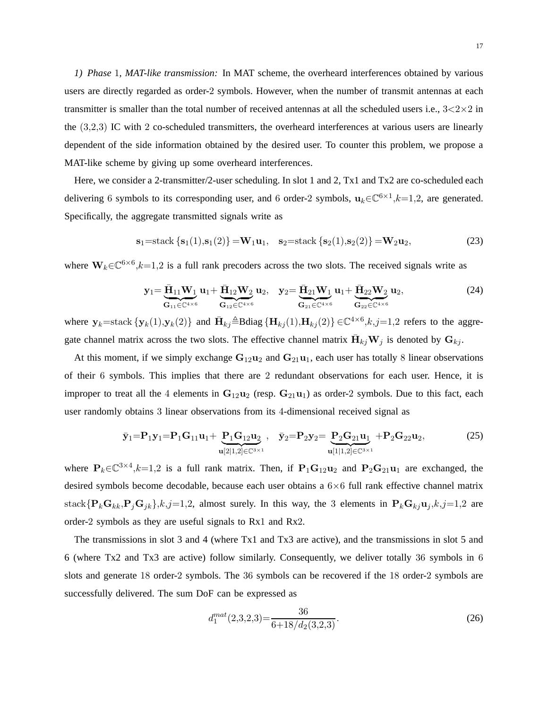<span id="page-16-0"></span>*1) Phase* 1*, MAT-like transmission:* In MAT scheme, the overheard interferences obtained by various users are directly regarded as order-2 symbols. However, when the number of transmit antennas at each transmitter is smaller than the total number of received antennas at all the scheduled users i.e.,  $3 < 2 \times 2$  in the (3,2,3) IC with 2 co-scheduled transmitters, the overheard interferences at various users are linearly dependent of the side information obtained by the desired user. To counter this problem, we propose a MAT-like scheme by giving up some overheard interferences.

Here, we consider a 2-transmitter/2-user scheduling. In slot 1 and 2, Tx1 and Tx2 are co-scheduled each delivering 6 symbols to its corresponding user, and 6 order-2 symbols,  $\mathbf{u}_k \in \mathbb{C}^{6 \times 1}, k=1,2$ , are generated. Specifically, the aggregate transmitted signals write as

$$
\mathbf{s}_1 = \text{stack}\{\mathbf{s}_1(1), \mathbf{s}_1(2)\} = \mathbf{W}_1 \mathbf{u}_1, \quad \mathbf{s}_2 = \text{stack}\{\mathbf{s}_2(1), \mathbf{s}_2(2)\} = \mathbf{W}_2 \mathbf{u}_2,\tag{23}
$$

where  $W_k \in \mathbb{C}^{6 \times 6}, k=1,2$  is a full rank precoders across the two slots. The received signals write as

$$
\mathbf{y}_1 = \underbrace{\bar{\mathbf{H}}_{11}\mathbf{W}_1}_{\mathbf{G}_{11}\in\mathbb{C}^{4\times6}} \mathbf{u}_1 + \underbrace{\bar{\mathbf{H}}_{12}\mathbf{W}_2}_{\mathbf{G}_{12}\in\mathbb{C}^{4\times6}} \mathbf{u}_2, \quad \mathbf{y}_2 = \underbrace{\bar{\mathbf{H}}_{21}\mathbf{W}_1}_{\mathbf{G}_{21}\in\mathbb{C}^{4\times6}} \mathbf{u}_1 + \underbrace{\bar{\mathbf{H}}_{22}\mathbf{W}_2}_{\mathbf{G}_{22}\in\mathbb{C}^{4\times6}} \mathbf{u}_2, \tag{24}
$$

where  $y_k$ =stack  $\{y_k(1), y_k(2)\}\$  and  $\bar{H}_{kj} \triangleq$ Bdiag  $\{H_{kj}(1), H_{kj}(2)\}\in \mathbb{C}^{4\times 6}, k, j=1,2$  refers to the aggregate channel matrix across the two slots. The effective channel matrix  $\bar{\mathbf{H}}_{kj} \mathbf{W}_j$  is denoted by  $\mathbf{G}_{kj}$ .

At this moment, if we simply exchange  $G_{12}u_2$  and  $G_{21}u_1$ , each user has totally 8 linear observations of their 6 symbols. This implies that there are 2 redundant observations for each user. Hence, it is improper to treat all the 4 elements in  $G_{12}u_2$  (resp.  $G_{21}u_1$ ) as order-2 symbols. Due to this fact, each user randomly obtains 3 linear observations from its 4-dimensional received signal as

$$
\bar{y}_1 = P_1 y_1 = P_1 G_{11} u_1 + \underbrace{P_1 G_{12} u_2}_{u[2]1,2] \in \mathbb{C}^{3 \times 1}}, \quad \bar{y}_2 = P_2 y_2 = \underbrace{P_2 G_{21} u_1}_{u[1]1,2] \in \mathbb{C}^{3 \times 1}} + P_2 G_{22} u_2,
$$
\n(25)

where  $P_k \in \mathbb{C}^{3 \times 4}, k=1,2$  is a full rank matrix. Then, if  $P_1G_{12}u_2$  and  $P_2G_{21}u_1$  are exchanged, the desired symbols become decodable, because each user obtains a 6×6 full rank effective channel matrix stack $\{P_kG_{kk},P_jG_{jk}\}\$ , $k,j=1,2$ , almost surely. In this way, the 3 elements in  $P_kG_{kj}u_j$ , $k,j=1,2$  are order-2 symbols as they are useful signals to Rx1 and Rx2.

The transmissions in slot 3 and 4 (where Tx1 and Tx3 are active), and the transmissions in slot 5 and 6 (where Tx2 and Tx3 are active) follow similarly. Consequently, we deliver totally 36 symbols in 6 slots and generate 18 order-2 symbols. The 36 symbols can be recovered if the 18 order-2 symbols are successfully delivered. The sum DoF can be expressed as

$$
d_1^{mat}(2,3,2,3) = \frac{36}{6+18/d_2(3,2,3)}.\tag{26}
$$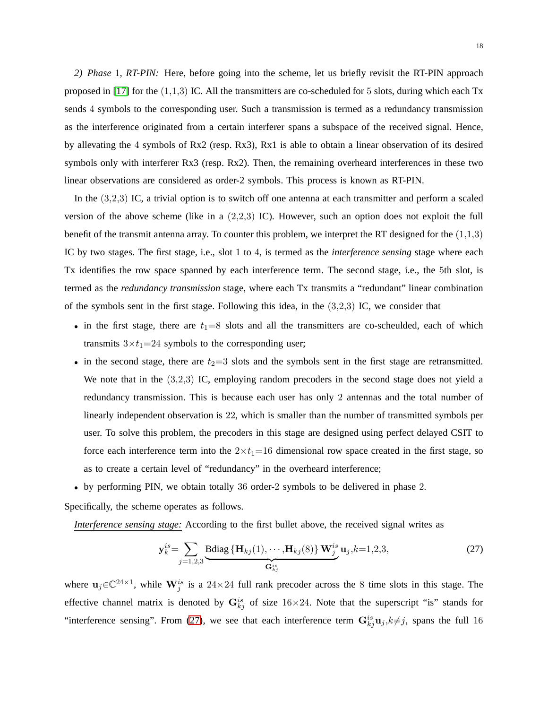<span id="page-17-0"></span>*2) Phase* 1*, RT-PIN:* Here, before going into the scheme, let us briefly revisit the RT-PIN approach proposed in [\[17\]](#page-30-12) for the  $(1,1,3)$  IC. All the transmitters are co-scheduled for 5 slots, during which each Tx sends 4 symbols to the corresponding user. Such a transmission is termed as a redundancy transmission as the interference originated from a certain interferer spans a subspace of the received signal. Hence, by allevating the 4 symbols of Rx2 (resp. Rx3), Rx1 is able to obtain a linear observation of its desired symbols only with interferer Rx3 (resp. Rx2). Then, the remaining overheard interferences in these two linear observations are considered as order-2 symbols. This process is known as RT-PIN.

In the (3,2,3) IC, a trivial option is to switch off one antenna at each transmitter and perform a scaled version of the above scheme (like in a  $(2,2,3)$  IC). However, such an option does not exploit the full benefit of the transmit antenna array. To counter this problem, we interpret the RT designed for the  $(1,1,3)$ IC by two stages. The first stage, i.e., slot 1 to 4, is termed as the *interference sensing* stage where each Tx identifies the row space spanned by each interference term. The second stage, i.e., the 5th slot, is termed as the *redundancy transmission* stage, where each Tx transmits a "redundant" linear combination of the symbols sent in the first stage. Following this idea, in the (3,2,3) IC, we consider that

- in the first stage, there are  $t_1=8$  slots and all the transmitters are co-scheulded, each of which transmits  $3 \times t_1 = 24$  symbols to the corresponding user;
- in the second stage, there are  $t_2=3$  slots and the symbols sent in the first stage are retransmitted. We note that in the  $(3,2,3)$  IC, employing random precoders in the second stage does not yield a redundancy transmission. This is because each user has only 2 antennas and the total number of linearly independent observation is 22, which is smaller than the number of transmitted symbols per user. To solve this problem, the precoders in this stage are designed using perfect delayed CSIT to force each interference term into the  $2 \times t_1 = 16$  dimensional row space created in the first stage, so as to create a certain level of "redundancy" in the overheard interference;
- by performing PIN, we obtain totally 36 order-2 symbols to be delivered in phase 2.

Specifically, the scheme operates as follows.

*Interference sensing stage:* According to the first bullet above, the received signal writes as

$$
\mathbf{y}_{k}^{is} = \sum_{j=1,2,3} \underbrace{\text{Bdiag} \left\{ \mathbf{H}_{kj}(1), \cdots, \mathbf{H}_{kj}(8) \right\} \mathbf{W}_{j}^{is}}_{\mathbf{G}_{kj}^{is}} \mathbf{u}_{j}, k=1,2,3,
$$
 (27)

where  $u_j \in \mathbb{C}^{24 \times 1}$ , while  $\mathbf{W}_j^{is}$  is a 24×24 full rank precoder across the 8 time slots in this stage. The effective channel matrix is denoted by  $G_{kj}^{is}$  of size 16×24. Note that the superscript "is" stands for "interference sensing". From [\(27\)](#page-17-0), we see that each interference term  $G_{kj}^{is}u_j, k\neq j$ , spans the full 16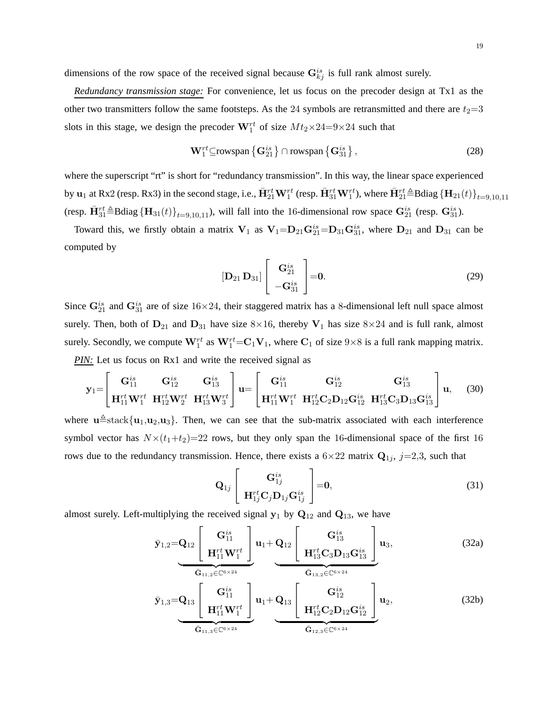dimensions of the row space of the received signal because  $\mathbf{G}_{kj}^{is}$  is full rank almost surely.

*Redundancy transmission stage:* For convenience, let us focus on the precoder design at Tx1 as the other two transmitters follow the same footsteps. As the 24 symbols are retransmitted and there are  $t_2=3$ slots in this stage, we design the precoder  $W_1^{rt}$  of size  $Mt_2 \times 24 = 9 \times 24$  such that

$$
\mathbf{W}_{1}^{rt} \subseteq \text{rowspan}\left\{\mathbf{G}_{21}^{is}\right\} \cap \text{rowspan}\left\{\mathbf{G}_{31}^{is}\right\},\tag{28}
$$

where the superscript "rt" is short for "redundancy transmission". In this way, the linear space experienced by  $u_1$  at Rx2 (resp. Rx3) in the second stage, i.e.,  $\bar{\mathbf{H}}_{21}^{rt}\mathbf{W}_1^{rt}$  (resp.  $\bar{\mathbf{H}}_{31}^{rt}\mathbf{W}_1^{rt}$ ), where  $\bar{\mathbf{H}}_{21}^{rt}$   $\triangleq$  Bdiag  $\{\mathbf{H}_{21}(t)\}_{t=9,10,11}$ (resp.  $\bar{H}_{31}^{rt} \triangleq$ Bdiag  ${H}_{31}(t)$ <sub>t=9,10,11</sub>), will fall into the 16-dimensional row space  $G_{21}^{is}$  (resp.  $G_{31}^{is}$ ).

Toward this, we firstly obtain a matrix  $V_1$  as  $V_1 = D_{21} G_{21}^{is} = D_{31} G_{31}^{is}$ , where  $D_{21}$  and  $D_{31}$  can be computed by

$$
\left[\mathbf{D}_{21}\,\mathbf{D}_{31}\right]\left[\begin{array}{c}\mathbf{G}_{21}^{is}\\-\mathbf{G}_{31}^{is}\end{array}\right]=\mathbf{0}.\tag{29}
$$

Since  $G_{21}^{is}$  and  $G_{31}^{is}$  are of size  $16\times24$ , their staggered matrix has a 8-dimensional left null space almost surely. Then, both of  $D_{21}$  and  $D_{31}$  have size 8×16, thereby  $V_1$  has size 8×24 and is full rank, almost surely. Secondly, we compute  $W_1^{rt}$  as  $W_1^{rt}$  =  $C_1V_1$ , where  $C_1$  of size  $9\times 8$  is a full rank mapping matrix. *PIN:* Let us focus on Rx1 and write the received signal as

$$
\mathbf{y}_{1} = \begin{bmatrix} \mathbf{G}_{11}^{is} & \mathbf{G}_{12}^{is} & \mathbf{G}_{13}^{is} \\ \mathbf{H}_{11}^{rt} \mathbf{W}_{1}^{rt} & \mathbf{H}_{12}^{rt} \mathbf{W}_{2}^{rt} & \mathbf{H}_{13}^{rt} \mathbf{W}_{3}^{rt} \end{bmatrix} \mathbf{u} = \begin{bmatrix} \mathbf{G}_{11}^{is} & \mathbf{G}_{12}^{is} & \mathbf{G}_{13}^{is} \\ \mathbf{H}_{11}^{rt} \mathbf{W}_{1}^{rt} & \mathbf{H}_{12}^{rt} \mathbf{C}_{2} \mathbf{D}_{12} \mathbf{G}_{12}^{is} & \mathbf{H}_{13}^{rt} \mathbf{C}_{3} \mathbf{D}_{13} \mathbf{G}_{13}^{is} \end{bmatrix} \mathbf{u}, \quad (30)
$$

where  $\mathbf{u} \triangleq$ stack $\{\mathbf{u}_1,\mathbf{u}_2,\mathbf{u}_3\}$ . Then, we can see that the sub-matrix associated with each interference symbol vector has  $N \times (t_1+t_2)=22$  rows, but they only span the 16-dimensional space of the first 16 rows due to the redundancy transmission. Hence, there exists a  $6\times 22$  matrix  $Q_{1j}$ ,  $j=2,3$ , such that

$$
\mathbf{Q}_{1j} \begin{bmatrix} \mathbf{G}_{1j}^{is} \\ \mathbf{H}_{1j}^{rt} \mathbf{C}_{j} \mathbf{D}_{1j} \mathbf{G}_{1j}^{is} \end{bmatrix} = \mathbf{0},
$$
\n(31)

almost surely. Left-multiplying the received signal  $y_1$  by  $Q_{12}$  and  $Q_{13}$ , we have

$$
\bar{\mathbf{y}}_{1,2} = \mathbf{Q}_{12} \left[ \begin{array}{c} \mathbf{G}_{11}^{is} \\ \mathbf{H}_{11}^{rt} \mathbf{W}_{1}^{rt} \end{array} \right] \mathbf{u}_{1} + \mathbf{Q}_{12} \left[ \begin{array}{c} \mathbf{G}_{13}^{is} \\ \mathbf{H}_{13}^{rt} \mathbf{C}_{3} \mathbf{D}_{13} \mathbf{G}_{13}^{is} \end{array} \right] \mathbf{u}_{3},
$$
\n(32a)

$$
\bar{\mathbf{y}}_{1,3} = \mathbf{Q}_{13} \left[ \begin{array}{c} \mathbf{G}_{11}^{is} \\ \mathbf{H}_{11}^{rt} \mathbf{W}_{1}^{rt} \end{array} \right] \mathbf{u}_{1} + \mathbf{Q}_{13} \left[ \begin{array}{c} \mathbf{G}_{12}^{is} \\ \mathbf{H}_{12}^{rt} \mathbf{C}_{2} \mathbf{D}_{12} \mathbf{G}_{12}^{is} \end{array} \right] \mathbf{u}_{2},
$$
\n(32b)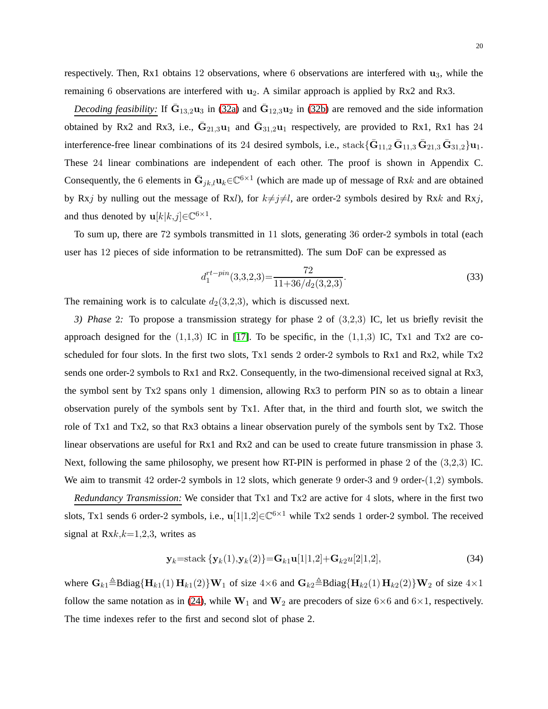respectively. Then, Rx1 obtains 12 observations, where 6 observations are interfered with  $\mathbf{u}_3$ , while the remaining 6 observations are interfered with  $u_2$ . A similar approach is applied by Rx2 and Rx3.

*Decoding feasibility:* If  $\bar{G}_{13,2}u_3$  in [\(32a\)](#page-17-0) and  $\bar{G}_{12,3}u_2$  in [\(32b\)](#page-17-0) are removed and the side information obtained by Rx2 and Rx3, i.e.,  $\bar{G}_{21,3}u_1$  and  $\bar{G}_{31,2}u_1$  respectively, are provided to Rx1, Rx1 has 24 interference-free linear combinations of its 24 desired symbols, i.e.,  $stack{z}{\bar{\mathbf{G}}_{11,2}\bar{\mathbf{G}}_{11,3}\bar{\mathbf{G}}_{21,3}\bar{\mathbf{G}}_{31,2}\mathbf{u}_1.}$ These 24 linear combinations are independent of each other. The proof is shown in Appendix C. Consequently, the 6 elements in  $\bar{G}_{jk,l}$ u $_k \in \mathbb{C}^{6 \times 1}$  (which are made up of message of Rxk and are obtained by Rxj by nulling out the message of Rxl), for  $k\neq j\neq l$ , are order-2 symbols desired by Rxk and Rxj, and thus denoted by  $\mathbf{u}[k|k,j] \in \mathbb{C}^{6 \times 1}$ .

To sum up, there are 72 symbols transmitted in 11 slots, generating 36 order-2 symbols in total (each user has 12 pieces of side information to be retransmitted). The sum DoF can be expressed as

$$
d_1^{rt-pin}(3,3,2,3) = \frac{72}{11+36/d_2(3,2,3)}.\tag{33}
$$

<span id="page-19-0"></span>The remaining work is to calculate  $d_2(3,2,3)$ , which is discussed next.

*3) Phase* 2*:* To propose a transmission strategy for phase 2 of (3,2,3) IC, let us briefly revisit the approach designed for the  $(1,1,3)$  IC in [\[17\]](#page-30-12). To be specific, in the  $(1,1,3)$  IC, Tx1 and Tx2 are coscheduled for four slots. In the first two slots, Tx1 sends 2 order-2 symbols to Rx1 and Rx2, while Tx2 sends one order-2 symbols to Rx1 and Rx2. Consequently, in the two-dimensional received signal at Rx3, the symbol sent by Tx2 spans only 1 dimension, allowing Rx3 to perform PIN so as to obtain a linear observation purely of the symbols sent by Tx1. After that, in the third and fourth slot, we switch the role of Tx1 and Tx2, so that Rx3 obtains a linear observation purely of the symbols sent by Tx2. Those linear observations are useful for Rx1 and Rx2 and can be used to create future transmission in phase 3. Next, following the same philosophy, we present how RT-PIN is performed in phase 2 of the (3,2,3) IC. We aim to transmit 42 order-2 symbols in 12 slots, which generate 9 order-3 and 9 order-(1,2) symbols.

*Redundancy Transmission:* We consider that Tx1 and Tx2 are active for 4 slots, where in the first two slots, Tx1 sends 6 order-2 symbols, i.e.,  $\mathbf{u}[1|1,2] \in \mathbb{C}^{6 \times 1}$  while Tx2 sends 1 order-2 symbol. The received signal at  $Rxk, k=1,2,3$ , writes as

$$
\mathbf{y}_{k} = \text{stack} \{ \mathbf{y}_{k}(1), \mathbf{y}_{k}(2) \} = \mathbf{G}_{k1} \mathbf{u}[1|1,2] + \mathbf{G}_{k2} u[2|1,2], \tag{34}
$$

where  $\mathbf{G}_{k1} \triangleq \text{Bdiag}\{\mathbf{H}_{k1}(1) \mathbf{H}_{k1}(2)\}\mathbf{W}_1$  of size  $4\times6$  and  $\mathbf{G}_{k2} \triangleq \text{Bdiag}\{\mathbf{H}_{k2}(1) \mathbf{H}_{k2}(2)\}\mathbf{W}_2$  of size  $4\times1$ follow the same notation as in [\(24\)](#page-16-0), while  $W_1$  and  $W_2$  are precoders of size 6×6 and 6×1, respectively. The time indexes refer to the first and second slot of phase 2.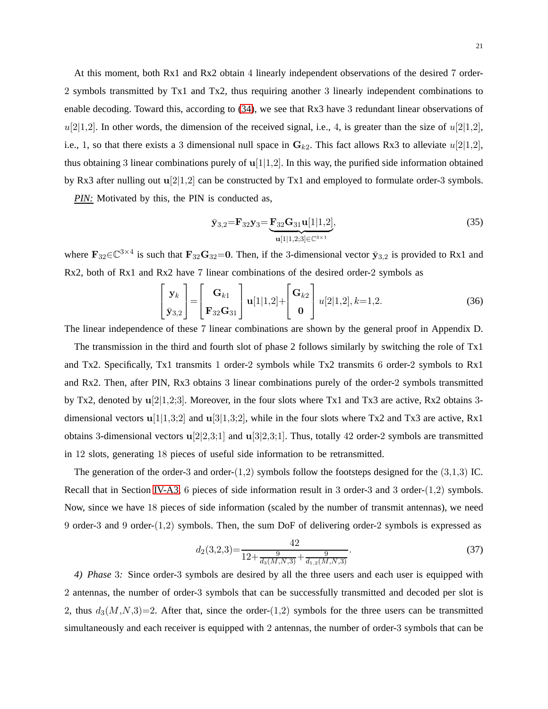21

At this moment, both Rx1 and Rx2 obtain 4 linearly independent observations of the desired 7 order-2 symbols transmitted by Tx1 and Tx2, thus requiring another 3 linearly independent combinations to enable decoding. Toward this, according to [\(34\)](#page-19-0), we see that Rx3 have 3 redundant linear observations of  $u[2|1,2]$ . In other words, the dimension of the received signal, i.e., 4, is greater than the size of  $u[2|1,2]$ , i.e., 1, so that there exists a 3 dimensional null space in  $G_{k2}$ . This fact allows Rx3 to alleviate  $u[2|1,2]$ , thus obtaining 3 linear combinations purely of  $u[1]1,2]$ . In this way, the purified side information obtained by Rx3 after nulling out  $u[2|1,2]$  can be constructed by Tx1 and employed to formulate order-3 symbols.

*PIN:* Motivated by this, the PIN is conducted as,

$$
\bar{\mathbf{y}}_{3,2} = \mathbf{F}_{32}\mathbf{y}_3 = \underbrace{\mathbf{F}_{32}\mathbf{G}_{31}\mathbf{u}[1|1,2]}_{\mathbf{u}[1|1,2;3] \in \mathbb{C}^{3 \times 1}},\tag{35}
$$

where  $\mathbf{F}_{32} \in \mathbb{C}^{3 \times 4}$  is such that  $\mathbf{F}_{32} \mathbf{G}_{32} = 0$ . Then, if the 3-dimensional vector  $\bar{\mathbf{y}}_{3,2}$  is provided to Rx1 and Rx2, both of Rx1 and Rx2 have 7 linear combinations of the desired order-2 symbols as

$$
\begin{bmatrix} \mathbf{y}_k \\ \bar{\mathbf{y}}_{3,2} \end{bmatrix} = \begin{bmatrix} \mathbf{G}_{k1} \\ \mathbf{F}_{32} \mathbf{G}_{31} \end{bmatrix} \mathbf{u}[1|1,2] + \begin{bmatrix} \mathbf{G}_{k2} \\ \mathbf{0} \end{bmatrix} u[2|1,2], k=1,2.
$$
 (36)

The linear independence of these 7 linear combinations are shown by the general proof in Appendix D.

The transmission in the third and fourth slot of phase 2 follows similarly by switching the role of Tx1 and Tx2. Specifically, Tx1 transmits 1 order-2 symbols while Tx2 transmits 6 order-2 symbols to Rx1 and Rx2. Then, after PIN, Rx3 obtains 3 linear combinations purely of the order-2 symbols transmitted by Tx2, denoted by  $u[2]1,2;3]$ . Moreover, in the four slots where Tx1 and Tx3 are active, Rx2 obtains 3dimensional vectors  $\mathbf{u}[1|1,3;2]$  and  $\mathbf{u}[3|1,3;2]$ , while in the four slots where Tx2 and Tx3 are active, Rx1 obtains 3-dimensional vectors  $\mathbf{u}[2|2,3;1]$  and  $\mathbf{u}[3|2,3;1]$ . Thus, totally 42 order-2 symbols are transmitted in 12 slots, generating 18 pieces of useful side information to be retransmitted.

The generation of the order-3 and order- $(1,2)$  symbols follow the footsteps designed for the  $(3,1,3)$  IC. Recall that in Section [IV-A3,](#page-10-1) 6 pieces of side information result in 3 order-3 and 3 order-(1,2) symbols. Now, since we have 18 pieces of side information (scaled by the number of transmit antennas), we need 9 order-3 and 9 order-(1,2) symbols. Then, the sum DoF of delivering order-2 symbols is expressed as

$$
d_2(3,2,3) = \frac{42}{12 + \frac{9}{d_3(M,N,3)} + \frac{9}{d_{1,2}(M,N,3)}}.\tag{37}
$$

*4) Phase* 3*:* Since order-3 symbols are desired by all the three users and each user is equipped with 2 antennas, the number of order-3 symbols that can be successfully transmitted and decoded per slot is 2, thus  $d_3(M,N,3)=2$ . After that, since the order-(1,2) symbols for the three users can be transmitted simultaneously and each receiver is equipped with 2 antennas, the number of order-3 symbols that can be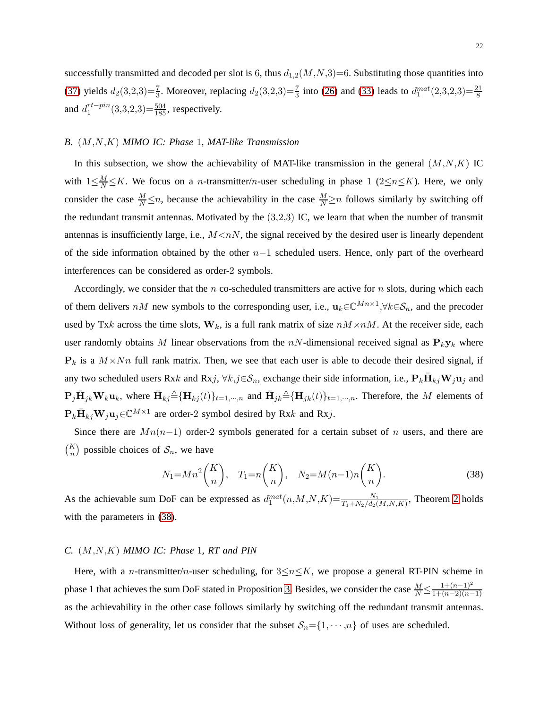successfully transmitted and decoded per slot is 6, thus  $d_{1,2}(M,N,3)=6$ . Substituting those quantities into [\(37\)](#page-19-0) yields  $d_2(3,2,3) = \frac{7}{3}$ . Moreover, replacing  $d_2(3,2,3) = \frac{7}{3}$  into [\(26\)](#page-16-0) and [\(33\)](#page-17-0) leads to  $d_1^{mat}(2,3,2,3) = \frac{21}{8}$ and  $d_1^{rt-pin}$  $_1^{rt-pin}(3,3,2,3)=\frac{504}{185}$ , respectively.

# <span id="page-21-0"></span>*B.* (M,N,K) *MIMO IC: Phase* 1*, MAT-like Transmission*

In this subsection, we show the achievability of MAT-like transmission in the general  $(M, N, K)$  IC with  $1 \leq \frac{M}{N} \leq K$ . We focus on a *n*-transmitter/*n*-user scheduling in phase 1 (2 $\leq n \leq K$ ). Here, we only consider the case  $\frac{M}{N} \le n$ , because the achievability in the case  $\frac{M}{N} \ge n$  follows similarly by switching off the redundant transmit antennas. Motivated by the  $(3,2,3)$  IC, we learn that when the number of transmit antennas is insufficiently large, i.e.,  $M \leq nN$ , the signal received by the desired user is linearly dependent of the side information obtained by the other  $n-1$  scheduled users. Hence, only part of the overheard interferences can be considered as order-2 symbols.

Accordingly, we consider that the n co-scheduled transmitters are active for n slots, during which each of them delivers nM new symbols to the corresponding user, i.e.,  $\mathbf{u}_k \in \mathbb{C}^{Mn \times 1}, \forall k \in \mathcal{S}_n$ , and the precoder used by Txk across the time slots,  $W_k$ , is a full rank matrix of size  $nM \times nM$ . At the receiver side, each user randomly obtains M linear observations from the  $nN$ -dimensional received signal as  $P_ky_k$  where  $P_k$  is a  $M \times Nn$  full rank matrix. Then, we see that each user is able to decode their desired signal, if any two scheduled users Rxk and Rxj,  $\forall k,j \in \mathcal{S}_n$ , exchange their side information, i.e.,  $\mathbf{P}_k \bar{\mathbf{H}}_{kj} \mathbf{W}_j \mathbf{u}_j$  and  $\mathbf{P}_j \bar{\mathbf{H}}_{jk} \mathbf{W}_k \mathbf{u}_k$ , where  $\bar{\mathbf{H}}_{kj} \triangleq {\{\mathbf{H}}_{kj}(t)\}_{t=1,\cdots,n}$  and  $\bar{\mathbf{H}}_{jk} \triangleq {\{\mathbf{H}}_{jk}(t)\}_{t=1,\cdots,n}$ . Therefore, the M elements of  $P_k \overline{H}_{kj} W_j u_j \in \mathbb{C}^{M \times 1}$  are order-2 symbol desired by Rxk and Rxj.

Since there are  $Mn(n-1)$  order-2 symbols generated for a certain subset of n users, and there are  $\binom{K}{n}$  possible choices of  $\mathcal{S}_n$ , we have

$$
N_1 = Mn^2 \binom{K}{n}, \quad T_1 = n \binom{K}{n}, \quad N_2 = M(n-1)n \binom{K}{n}.
$$
 (38)

As the achievable sum DoF can be expressed as  $d_1^{mat}(n,M,N,K) = \frac{N_1}{T_1+N_2/d_2(M,N,K)}$ , Theorem [2](#page-6-1) holds with the parameters in [\(38\)](#page-21-0).

#### <span id="page-21-1"></span>*C.* (M,N,K) *MIMO IC: Phase* 1*, RT and PIN*

Here, with a *n*-transmitter/*n*-user scheduling, for  $3\leq n\leq K$ , we propose a general RT-PIN scheme in phase 1 that achieves the sum DoF stated in Proposition [3.](#page-7-1) Besides, we consider the case  $\frac{M}{N} \leq \frac{1+(n-1)^2}{1+(n-2)(n-1)}$  $1+(n-2)(n-1)$ as the achievability in the other case follows similarly by switching off the redundant transmit antennas. Without loss of generality, let us consider that the subset  $S_n = \{1, \dots, n\}$  of uses are scheduled.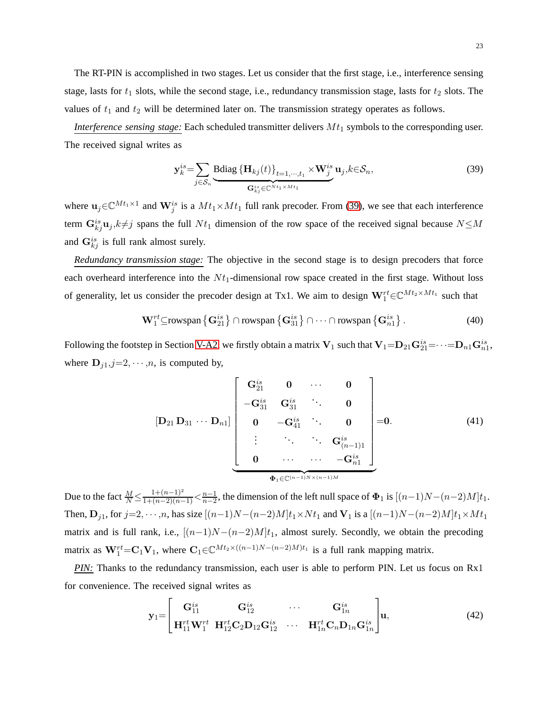The RT-PIN is accomplished in two stages. Let us consider that the first stage, i.e., interference sensing stage, lasts for  $t_1$  slots, while the second stage, i.e., redundancy transmission stage, lasts for  $t_2$  slots. The values of  $t_1$  and  $t_2$  will be determined later on. The transmission strategy operates as follows.

*Interference sensing stage:* Each scheduled transmitter delivers  $Mt_1$  symbols to the corresponding user. The received signal writes as

$$
\mathbf{y}_{k}^{is} = \sum_{j \in \mathcal{S}_n} \underbrace{\text{Bdiag} \left\{ \mathbf{H}_{kj}(t) \right\}_{t=1,\cdots,t_1} \times \mathbf{W}_{j}^{is}}_{\mathbf{G}_{kj}^{is} \in \mathbb{C}^{N t_1 \times M t_1}} \mathbf{u}_{j}, k \in \mathcal{S}_n,
$$
\n(39)

where  $\mathbf{u}_j \in \mathbb{C}^{Mt_1 \times 1}$  and  $\mathbf{W}_j^{is}$  is a  $Mt_1 \times Mt_1$  full rank precoder. From [\(39\)](#page-21-1), we see that each interference term  $\mathbf{G}_{kj}^{is}$ **u**<sub>j</sub>, $k \neq j$  spans the full  $N t_1$  dimension of the row space of the received signal because  $N \leq M$ and  $\mathbf{G}_{kj}^{is}$  is full rank almost surely.

*Redundancy transmission stage:* The objective in the second stage is to design precoders that force each overheard interference into the  $N t_1$ -dimensional row space created in the first stage. Without loss of generality, let us consider the precoder design at Tx1. We aim to design  $W_1^{rt} \in \mathbb{C}^{Mt_2 \times Mt_1}$  such that

$$
\mathbf{W}_{1}^{rt} \subseteq \text{rowspan}\left\{\mathbf{G}_{21}^{is}\right\} \cap \text{rowspan}\left\{\mathbf{G}_{31}^{is}\right\} \cap \cdots \cap \text{rowspan}\left\{\mathbf{G}_{n1}^{is}\right\}.
$$
 (40)

Following the footstep in Section [V-A2,](#page-17-0) we firstly obtain a matrix  ${\bf V}_1$  such that  ${\bf V}_1=$   ${\bf D}_{21} {\bf G}_{21}^{is}$   $=$   $\cdots$   $=$   ${\bf D}_{n1} {\bf G}_{n1}^{is}$ where  $D_{j1}, j=2, \cdots, n$ , is computed by,

$$
[\mathbf{D}_{21} \mathbf{D}_{31} \cdots \mathbf{D}_{n1}] \begin{bmatrix} \mathbf{G}_{21}^{is} & \mathbf{0} & \cdots & \mathbf{0} \\ -\mathbf{G}_{31}^{is} & \mathbf{G}_{31}^{is} & \ddots & \mathbf{0} \\ \mathbf{0} & -\mathbf{G}_{41}^{is} & \mathbf{0} & \mathbf{0} \\ \vdots & \ddots & \ddots & \mathbf{G}_{(n-1)1}^{is} \\ \mathbf{0} & \cdots & \cdots & -\mathbf{G}_{n1}^{is} \end{bmatrix} = 0.
$$
 (41)

Due to the fact  $\frac{M}{N} \leq \frac{1+(n-1)^2}{1+(n-2)(n-1)} < \frac{n-1}{n-2}$ , the dimension of the left null space of  $\Phi_1$  is  $[(n-1)N-(n-2)M]t_1$ . Then,  $D_{j1}$ , for  $j=2,\dots,n$ , has size  $[(n-1)N-(n-2)M]t_1\times Nt_1$  and  $V_1$  is a  $[(n-1)N-(n-2)M]t_1\times Mt_1$ matrix and is full rank, i.e.,  $[(n-1)N-(n-2)M]t_1$ , almost surely. Secondly, we obtain the precoding matrix as  $W_1^{rt} = C_1 V_1$ , where  $C_1 \in \mathbb{C}^{Mt_2 \times ((n-1)N-(n-2)M)t_1}$  is a full rank mapping matrix.

**PIN:** Thanks to the redundancy transmission, each user is able to perform PIN. Let us focus on Rx1 for convenience. The received signal writes as

$$
\mathbf{y}_1 = \begin{bmatrix} \mathbf{G}_{11}^{is} & \mathbf{G}_{12}^{is} & \cdots & \mathbf{G}_{1n}^{is} \\ \mathbf{H}_{11}^{rt} \mathbf{W}_1^{rt} & \mathbf{H}_{12}^{rt} \mathbf{C}_2 \mathbf{D}_{12} \mathbf{G}_{12}^{is} & \cdots & \mathbf{H}_{1n}^{rt} \mathbf{C}_n \mathbf{D}_{1n} \mathbf{G}_{1n}^{is} \end{bmatrix} \mathbf{u},
$$
(42)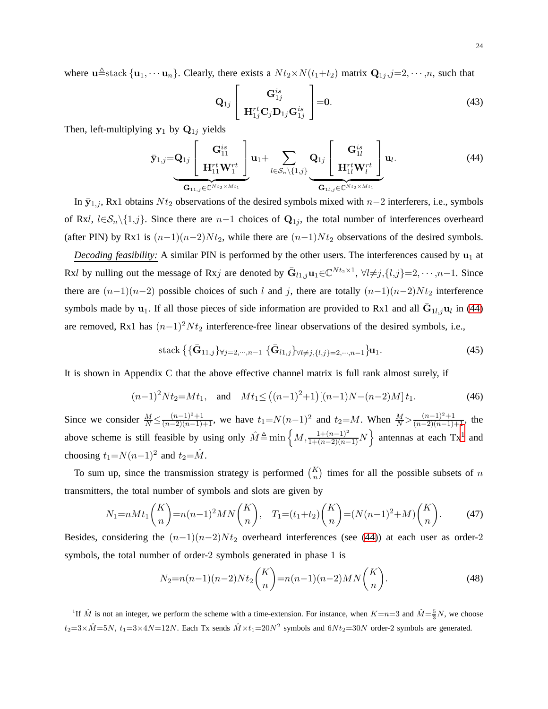where  $\mathbf{u} \triangleq$ stack  $\{\mathbf{u}_1, \cdots \mathbf{u}_n\}$ . Clearly, there exists a  $N t_2 \times N(t_1+t_2)$  matrix  $\mathbf{Q}_{1j}, j=2,\cdots,n$ , such that

$$
\mathbf{Q}_{1j} \begin{bmatrix} \mathbf{G}_{1j}^{is} \\ \mathbf{H}_{1j}^{rt} \mathbf{C}_{j} \mathbf{D}_{1j} \mathbf{G}_{1j}^{is} \end{bmatrix} = \mathbf{0}.
$$
\n(43)

Then, left-multiplying  $y_1$  by  $Q_{1j}$  yields

$$
\bar{\mathbf{y}}_{1,j} = \mathbf{Q}_{1,j} \left[ \begin{array}{c} \mathbf{G}_{11}^{is} \\ \mathbf{H}_{11}^{rt} \mathbf{W}_{1}^{rt} \end{array} \right] \mathbf{u}_{1} + \sum_{l \in S_{n} \setminus \{1,j\}} \mathbf{Q}_{1j} \left[ \begin{array}{c} \mathbf{G}_{1l}^{is} \\ \mathbf{H}_{1l}^{rt} \mathbf{W}_{l}^{rt} \end{array} \right] \mathbf{u}_{l}. \tag{44}
$$

In  $\bar{y}_{1,j}$ , Rx1 obtains  $Nt_2$  observations of the desired symbols mixed with n–2 interferers, i.e., symbols of Rxl,  $l\in\mathcal{S}_n\setminus\{1,j\}$ . Since there are  $n-1$  choices of  $\mathbf{Q}_{1j}$ , the total number of interferences overheard (after PIN) by Rx1 is  $(n-1)(n-2)Nt_2$ , while there are  $(n-1)Nt_2$  observations of the desired symbols.

*Decoding feasibility:* A similar PIN is performed by the other users. The interferences caused by  $\mathbf{u}_1$  at Rxl by nulling out the message of Rxj are denoted by  $\bar{G}_{l_1,j}u_1 \in \mathbb{C}^{Nt_2 \times 1}$ ,  $\forall l \neq j, \{l,j\}=2,\dots, n-1$ . Since there are  $(n-1)(n-2)$  possible choices of such l and j, there are totally  $(n-1)(n-2)Nt_2$  interference symbols made by  $\mathbf{u}_1$ . If all those pieces of side information are provided to Rx1 and all  $\bar{\mathbf{G}}_{1l,j}\mathbf{u}_l$  in [\(44\)](#page-21-1) are removed, Rx1 has  $(n-1)^2 N t_2$  interference-free linear observations of the desired symbols, i.e.,

stack 
$$
\{ {\{\bar{\mathbf{G}}_{11,j}\}}_{\forall j=2,\cdots,n-1} {\{\bar{\mathbf{G}}_{l1,j}\}}_{\forall l\neq j,\{l,j\}=2,\cdots,n-1} \mathbf{u}_1.
$$
 (45)

It is shown in Appendix C that the above effective channel matrix is full rank almost surely, if

$$
(n-1)^2 N t_2 = M t_1, \quad \text{and} \quad M t_1 \le \left( (n-1)^2 + 1 \right) \left[ (n-1)N - (n-2)M \right] t_1. \tag{46}
$$

Since we consider  $\frac{M}{N} \leq \frac{(n-1)^2+1}{(n-2)(n-1)+1}$ , we have  $t_1 = N(n-1)^2$  and  $t_2 = M$ . When  $\frac{M}{N} > \frac{(n-1)^2+1}{(n-2)(n-1)+1}$ , the above scheme is still feasible by using only  $\hat{M} \triangleq \min \left\{ M, \frac{1 + (n-1)^2}{1 + (n-2)(n-1)}N \right\}$  $\hat{M} \triangleq \min \left\{ M, \frac{1 + (n-1)^2}{1 + (n-2)(n-1)}N \right\}$  $\hat{M} \triangleq \min \left\{ M, \frac{1 + (n-1)^2}{1 + (n-2)(n-1)}N \right\}$  antennas at each Tx<sup>1</sup> and choosing  $t_1 = N(n-1)^2$  and  $t_2 = \hat{M}$ .

To sum up, since the transmission strategy is performed  $\binom{K}{n}$  times for all the possible subsets of n transmitters, the total number of symbols and slots are given by

$$
N_1 = nMt_1\binom{K}{n} = n(n-1)^2MN\binom{K}{n}, \quad T_1 = (t_1 + t_2)\binom{K}{n} = (N(n-1)^2 + M)\binom{K}{n}.
$$
 (47)

Besides, considering the  $(n-1)(n-2)Nt_2$  overheard interferences (see [\(44\)](#page-21-1)) at each user as order-2 symbols, the total number of order-2 symbols generated in phase 1 is

$$
N_2 = n(n-1)(n-2)Nt_2\binom{K}{n} = n(n-1)(n-2)MN\binom{K}{n}.
$$
\n(48)

<span id="page-23-0"></span><sup>1</sup>If  $\hat{M}$  is not an integer, we perform the scheme with a time-extension. For instance, when  $K=n=3$  and  $\hat{M}=\frac{5}{3}N$ , we choose  $t_2=3\times \hat{M}=5N,\ t_1=3\times 4N=12N.$  Each Tx sends  $\hat{M}\times t_1=20N^2$  symbols and  $6Nt_2=30N$  order-2 symbols are generated.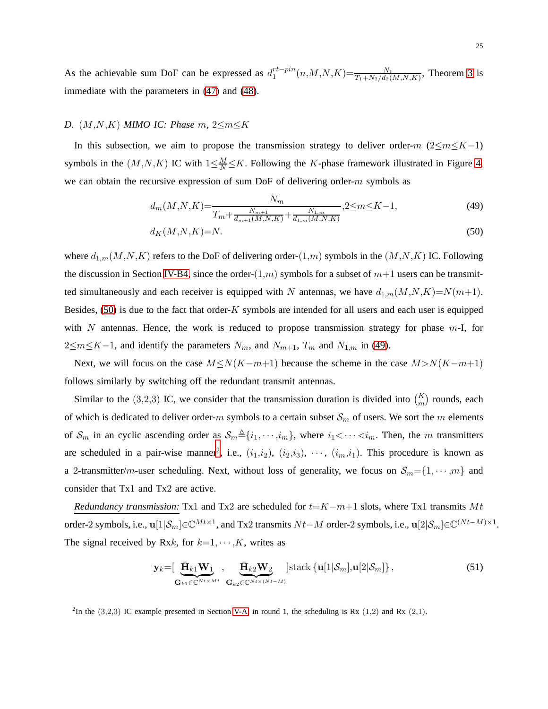As the achievable sum DoF can be expressed as  $d_1^{rt-pin}$  $t^{rt-pin}(n,M,N,K) = \frac{N_1}{T_1+N_2/d_2(M,N,K)}$ , Theorem [3](#page-7-1) is immediate with the parameters in [\(47\)](#page-21-1) and [\(48\)](#page-21-1).

## <span id="page-24-0"></span>*D.* (M,N,K) *MIMO IC: Phase* m*,* 2≤m≤K

In this subsection, we aim to propose the transmission strategy to deliver order-m  $(2\leq m\leq K-1)$ symbols in the  $(M, N, K)$  IC with  $1 \leq \frac{M}{N} \leq K$ . Following the K-phase framework illustrated in Figure [4,](#page-12-0) we can obtain the recursive expression of sum DoF of delivering order- $m$  symbols as

$$
d_m(M, N, K) = \frac{N_m}{T_m + \frac{N_{m+1}}{d_{m+1}(M, N, K)} + \frac{N_{1,m}}{d_{1,m}(M, N, K)}} , 2 \le m \le K - 1,
$$
\n(49)

$$
d_K(M, N, K) = N. \tag{50}
$$

where  $d_{1,m}(M,N,K)$  refers to the DoF of delivering order- $(1,m)$  symbols in the  $(M,N,K)$  IC. Following the discussion in Section [IV-B4,](#page-14-0) since the order- $(1,m)$  symbols for a subset of  $m+1$  users can be transmitted simultaneously and each receiver is equipped with N antennas, we have  $d_{1,m}(M,N,K)=N(m+1)$ . Besides,  $(50)$  is due to the fact that order-K symbols are intended for all users and each user is equipped with N antennas. Hence, the work is reduced to propose transmission strategy for phase  $m-1$ , for  $2 \le m \le K-1$ , and identify the parameters  $N_m$ , and  $N_{m+1}$ ,  $T_m$  and  $N_{1,m}$  in [\(49\)](#page-24-0).

Next, we will focus on the case  $M \le N(K-m+1)$  because the scheme in the case  $M > N(K-m+1)$ follows similarly by switching off the redundant transmit antennas.

Similar to the (3,2,3) IC, we consider that the transmission duration is divided into  $\binom{K}{m}$  rounds, each of which is dedicated to deliver order-m symbols to a certain subset  $S_m$  of users. We sort the m elements of  $S_m$  in an cyclic ascending order as  $S_m \triangleq \{i_1, \dots, i_m\}$ , where  $i_1 < \dots < i_m$ . Then, the m transmitters are scheduled in a pair-wise manner<sup>[2](#page-24-1)</sup>, i.e.,  $(i_1,i_2)$ ,  $(i_2,i_3)$ ,  $\dots$ ,  $(i_m,i_1)$ . This procedure is known as a 2-transmitter/m-user scheduling. Next, without loss of generality, we focus on  $S_m = \{1, \dots, m\}$  and consider that Tx1 and Tx2 are active.

*Redundancy transmission:* Tx1 and Tx2 are scheduled for  $t=K-m+1$  slots, where Tx1 transmits Mt order-2 symbols, i.e.,  $\mathbf{u}[1|\mathcal{S}_m]\in\mathbb{C}^{Mt\times 1}$ , and Tx2 transmits  $Nt-M$  order-2 symbols, i.e.,  $\mathbf{u}[2|\mathcal{S}_m]\in\mathbb{C}^{(Nt-M)\times 1}$ . The signal received by Rxk, for  $k=1, \dots, K$ , writes as

$$
\mathbf{y}_{k} = \left[ \underbrace{\bar{\mathbf{H}}_{k1} \mathbf{W}_{1}}_{\mathbf{G}_{k1} \in \mathbb{C}^{N t \times M t}} , \underbrace{\bar{\mathbf{H}}_{k2} \mathbf{W}_{2}}_{\mathbf{G}_{k2} \in \mathbb{C}^{N t \times (N t - M)}} \right] \text{stack} \left\{ \mathbf{u}[1 | \mathcal{S}_{m}], \mathbf{u}[2 | \mathcal{S}_{m}] \right\}, \tag{51}
$$

<span id="page-24-1"></span><sup>2</sup>In the (3,2,3) IC example presented in Section [V-A,](#page-15-1) in round 1, the scheduling is Rx (1,2) and Rx (2,1).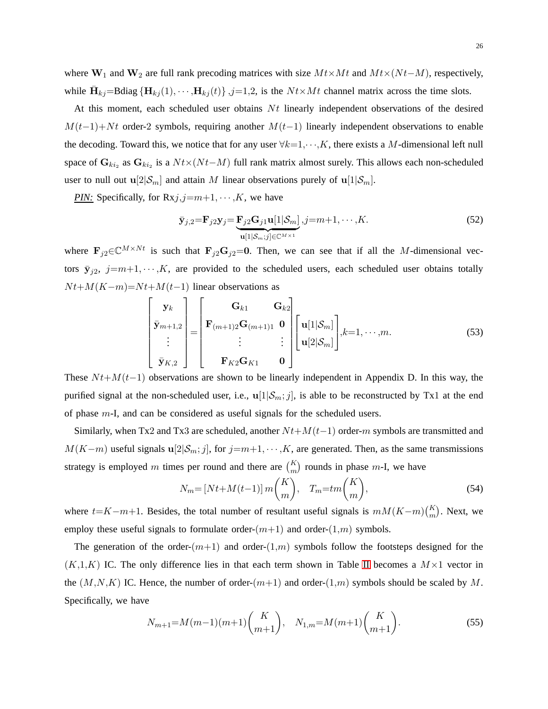where  $W_1$  and  $W_2$  are full rank precoding matrices with size  $M t \times M t$  and  $M t \times (N t - M)$ , respectively, while  $\bar{\mathbf{H}}_{kj}$ =Bdiag  ${\{\mathbf{H}_{kj}(1), \cdots, \mathbf{H}_{kj}(t)\}}$ ,  $j=1,2$ , is the  $N t \times M t$  channel matrix across the time slots.

At this moment, each scheduled user obtains  $Nt$  linearly independent observations of the desired  $M(t-1)+Nt$  order-2 symbols, requiring another  $M(t-1)$  linearly independent observations to enable the decoding. Toward this, we notice that for any user  $\forall k=1,\dots,K$ , there exists a M-dimensional left null space of  $G_{ki_2}$  as  $G_{ki_2}$  is a  $Nt\times(Nt-M)$  full rank matrix almost surely. This allows each non-scheduled user to null out  $\mathbf{u}[2|\mathcal{S}_m]$  and attain M linear observations purely of  $\mathbf{u}[1|\mathcal{S}_m]$ .

*PIN:* Specifically, for  $Rxj, j=m+1, \cdots, K$ , we have

$$
\bar{\mathbf{y}}_{j,2} = \mathbf{F}_{j2}\mathbf{y}_j = \underbrace{\mathbf{F}_{j2}\mathbf{G}_{j1}\mathbf{u}[1|\mathcal{S}_m]}_{\mathbf{u}[1|\mathcal{S}_m;j] \in \mathbb{C}^{M \times 1}} , j = m+1, \cdots, K.
$$
\n(52)

where  $\mathbf{F}_{j2} \in \mathbb{C}^{M \times Nt}$  is such that  $\mathbf{F}_{j2}\mathbf{G}_{j2}=0$ . Then, we can see that if all the M-dimensional vectors  $\bar{y}_{j2}$ ,  $j=m+1, \dots, K$ , are provided to the scheduled users, each scheduled user obtains totally  $Nt+M(K-m)=Nt+M(t-1)$  linear observations as

$$
\begin{bmatrix} \mathbf{y}_k \\ \bar{\mathbf{y}}_{m+1,2} \\ \vdots \\ \bar{\mathbf{y}}_{K,2} \end{bmatrix} = \begin{bmatrix} \mathbf{G}_{k1} & \mathbf{G}_{k2} \\ \mathbf{F}_{(m+1)2} \mathbf{G}_{(m+1)1} & \mathbf{0} \\ \vdots & \vdots \\ \mathbf{F}_{K2} \mathbf{G}_{K1} & \mathbf{0} \end{bmatrix} \begin{bmatrix} \mathbf{u}[1|\mathcal{S}_m] \\ \mathbf{u}[2|\mathcal{S}_m] \end{bmatrix}, k=1,\cdots,m. \tag{53}
$$

These  $N t + M(t-1)$  observations are shown to be linearly independent in Appendix D. In this way, the purified signal at the non-scheduled user, i.e.,  $\mathbf{u}[1|\mathcal{S}_m; j]$ , is able to be reconstructed by Tx1 at the end of phase m-I, and can be considered as useful signals for the scheduled users.

Similarly, when Tx2 and Tx3 are scheduled, another  $Nt+M(t-1)$  order-m symbols are transmitted and  $M(K-m)$  useful signals  $\mathbf{u}[2|\mathcal{S}_m; j]$ , for  $j=m+1, \dots, K$ , are generated. Then, as the same transmissions strategy is employed m times per round and there are  $\binom{K}{m}$  rounds in phase m-I, we have

$$
N_m = \left[ Nt + M(t-1) \right] m \binom{K}{m}, \quad T_m = tm \binom{K}{m},\tag{54}
$$

where  $t = K-m+1$ . Besides, the total number of resultant useful signals is  $mM(K-m) \binom{K}{m}$ . Next, we employ these useful signals to formulate order- $(m+1)$  and order- $(1,m)$  symbols.

The generation of the order- $(m+1)$  and order- $(1,m)$  symbols follow the footsteps designed for the  $(K,1,K)$  IC. The only difference lies in that each term shown in Table [II](#page-14-1) becomes a  $M\times1$  vector in the  $(M, N, K)$  IC. Hence, the number of order- $(m+1)$  and order- $(1,m)$  symbols should be scaled by M. Specifically, we have

$$
N_{m+1} = M(m-1)(m+1)\binom{K}{m+1}, \quad N_{1,m} = M(m+1)\binom{K}{m+1}.\tag{55}
$$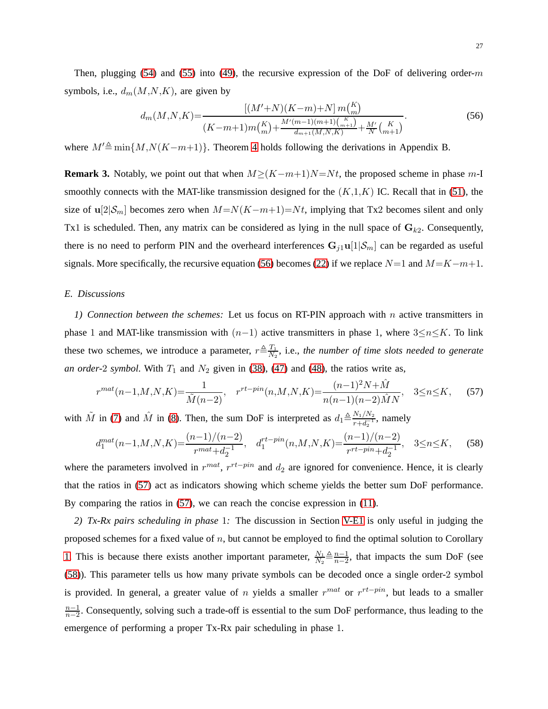Then, plugging [\(54\)](#page-24-0) and [\(55\)](#page-24-0) into [\(49\)](#page-24-0), the recursive expression of the DoF of delivering order-m symbols, i.e.,  $d_m(M, N, K)$ , are given by

$$
d_m(M, N, K) = \frac{\left[ (M' + N)(K - m) + N \right] m \binom{K}{m}}{(K - m + 1) m \binom{K}{m} + \frac{M'(m - 1)(m + 1) \binom{K}{m + 1}}{d_{m + 1}(M, N, K)} + \frac{M'}{N} \binom{K}{m + 1}}.
$$
\n(56)

where  $M' \triangleq \min\{M, N(K-m+1)\}\$ . Theorem [4](#page-7-0) holds following the derivations in Appendix B.

**Remark 3.** Notably, we point out that when  $M \geq (K-m+1)N = Nt$ , the proposed scheme in phase m-I smoothly connects with the MAT-like transmission designed for the  $(K,1,K)$  IC. Recall that in [\(51\)](#page-24-0), the size of u[2| $\mathcal{S}_m$ ] becomes zero when  $M=N(K-m+1)=Nt$ , implying that Tx2 becomes silent and only Tx1 is scheduled. Then, any matrix can be considered as lying in the null space of  $\mathbf{G}_{k2}$ . Consequently, there is no need to perform PIN and the overheard interferences  $G_{j1}u[1|\mathcal{S}_m]$  can be regarded as useful signals. More specifically, the recursive equation [\(56\)](#page-24-0) becomes [\(22\)](#page-15-2) if we replace  $N=1$  and  $M=K-m+1$ .

# <span id="page-26-0"></span>*E. Discussions*

*1) Connection between the schemes:* Let us focus on RT-PIN approach with n active transmitters in phase 1 and MAT-like transmission with  $(n-1)$  active transmitters in phase 1, where  $3\leq n\leq K$ . To link these two schemes, we introduce a parameter,  $r \triangleq \frac{T_1}{N_0}$  $\frac{T_1}{N_2}$ , i.e., the number of time slots needed to generate *an order-2 symbol.* With  $T_1$  and  $N_2$  given in [\(38\)](#page-21-0), [\(47\)](#page-21-1) and [\(48\)](#page-21-1), the ratios write as,

$$
r^{mat}(n-1,M,N,K) = \frac{1}{\tilde{M}(n-2)}, \quad r^{rt-pin}(n,M,N,K) = \frac{(n-1)^2 N + \hat{M}}{n(n-1)(n-2)\hat{M}N}, \quad 3 \le n \le K,\tag{57}
$$

with  $\tilde{M}$  in [\(7\)](#page-6-1) and  $\hat{M}$  in [\(8\)](#page-7-1). Then, the sum DoF is interpreted as  $d_1 \triangleq \frac{N_1/N_2}{r+d_1}$  $\frac{N_1/N_2}{r+d_2^{-1}}$ , namely

$$
d_1^{mat}(n-1,M,N,K) = \frac{(n-1)/(n-2)}{r^{mat} + d_2^{-1}}, \quad d_1^{rt-pin}(n,M,N,K) = \frac{(n-1)/(n-2)}{r^{rt-pin} + d_2^{-1}}, \quad 3 \le n \le K,
$$
 (58)

where the parameters involved in  $r^{mat}$ ,  $r^{rt-pin}$  and  $d_2$  are ignored for convenience. Hence, it is clearly that the ratios in [\(57\)](#page-26-0) act as indicators showing which scheme yields the better sum DoF performance. By comparing the ratios in [\(57\)](#page-26-0), we can reach the concise expression in [\(11\)](#page-7-2).

*2) Tx-Rx pairs scheduling in phase* 1*:* The discussion in Section [V-E1](#page-26-0) is only useful in judging the proposed schemes for a fixed value of  $n$ , but cannot be employed to find the optimal solution to Corollary [1.](#page-7-2) This is because there exists another important parameter,  $\frac{N_1}{N_0}$  $\frac{N_1}{N_2} \triangleq \frac{n-1}{n-2}$  $\frac{n-1}{n-2}$ , that impacts the sum DoF (see [\(58\)](#page-26-0)). This parameter tells us how many private symbols can be decoded once a single order-2 symbol is provided. In general, a greater value of n yields a smaller  $r^{mat}$  or  $r^{rt-pin}$ , but leads to a smaller  $n-1$  $\frac{n-1}{n-2}$ . Consequently, solving such a trade-off is essential to the sum DoF performance, thus leading to the emergence of performing a proper Tx-Rx pair scheduling in phase 1.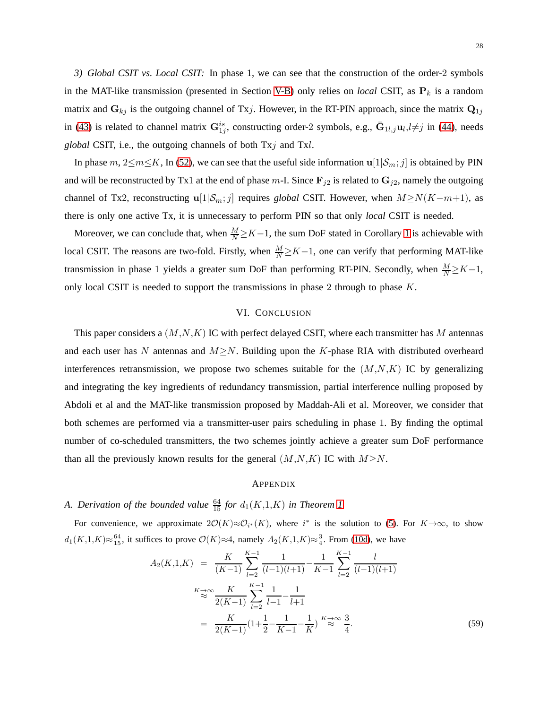*3) Global CSIT vs. Local CSIT:* In phase 1, we can see that the construction of the order-2 symbols in the MAT-like transmission (presented in Section [V-B\)](#page-21-0) only relies on *local* CSIT, as  $P_k$  is a random matrix and  $G_{kj}$  is the outgoing channel of Txj. However, in the RT-PIN approach, since the matrix  $Q_{1j}$ in [\(43\)](#page-21-1) is related to channel matrix  $G_{1j}^{is}$ , constructing order-2 symbols, e.g.,  $\bar{G}_{1l,j}u_l,l\neq j$  in [\(44\)](#page-21-1), needs *global* CSIT, i.e., the outgoing channels of both Txj and Txl.

In phase m,  $2\leq m\leq K$ , In [\(52\)](#page-24-0), we can see that the useful side information  $u[1|\mathcal{S}_m; j]$  is obtained by PIN and will be reconstructed by Tx1 at the end of phase m-I. Since  $\mathbf{F}_{j2}$  is related to  $\mathbf{G}_{j2}$ , namely the outgoing channel of Tx2, reconstructing u[1|S<sub>m</sub>; j] requires *global* CSIT. However, when  $M \ge N(K-m+1)$ , as there is only one active Tx, it is unnecessary to perform PIN so that only *local* CSIT is needed.

Moreover, we can conclude that, when  $\frac{M}{N} \ge K-1$ , the sum DoF stated in Corollary [1](#page-7-2) is achievable with local CSIT. The reasons are two-fold. Firstly, when  $\frac{M}{N} \ge K-1$ , one can verify that performing MAT-like transmission in phase 1 yields a greater sum DoF than performing RT-PIN. Secondly, when  $\frac{M}{N} \ge K-1$ , only local CSIT is needed to support the transmissions in phase 2 through to phase  $K$ .

#### VI. CONCLUSION

<span id="page-27-0"></span>This paper considers a  $(M, N, K)$  IC with perfect delayed CSIT, where each transmitter has M antennas and each user has N antennas and  $M \ge N$ . Building upon the K-phase RIA with distributed overheard interferences retransmission, we propose two schemes suitable for the  $(M, N, K)$  IC by generalizing and integrating the key ingredients of redundancy transmission, partial interference nulling proposed by Abdoli et al and the MAT-like transmission proposed by Maddah-Ali et al. Moreover, we consider that both schemes are performed via a transmitter-user pairs scheduling in phase 1. By finding the optimal number of co-scheduled transmitters, the two schemes jointly achieve a greater sum DoF performance than all the previously known results for the general  $(M, N, K)$  IC with  $M \ge N$ .

#### APPENDIX

# *A. Derivation of the bounded value*  $\frac{64}{15}$  *for*  $d_1(K,1,K)$  *in Theorem [1](#page-6-0)*

For convenience, we approximate  $2\mathcal{O}(K) \approx \mathcal{O}_{i^*}(K)$ , where  $i^*$  is the solution to [\(5\)](#page-6-0). For  $K \to \infty$ , to show  $d_1(K,1,K) \approx \frac{64}{15}$ , it suffices to prove  $\mathcal{O}(K) \approx 4$ , namely  $A_2(K,1,K) \approx \frac{3}{4}$ . From [\(10d\)](#page-7-0), we have

$$
A_2(K,1,K) = \frac{K}{(K-1)} \sum_{l=2}^{K-1} \frac{1}{(l-1)(l+1)} - \frac{1}{K-1} \sum_{l=2}^{K-1} \frac{l}{(l-1)(l+1)}
$$
  

$$
\stackrel{K \to \infty}{\approx} \frac{K}{2(K-1)} \sum_{l=2}^{K-1} \frac{1}{l-1} - \frac{1}{l+1}
$$
  

$$
= \frac{K}{2(K-1)} \left(1 + \frac{1}{2} - \frac{1}{K-1} - \frac{1}{K}\right) \stackrel{K \to \infty}{\approx} \frac{3}{4}.
$$
 (59)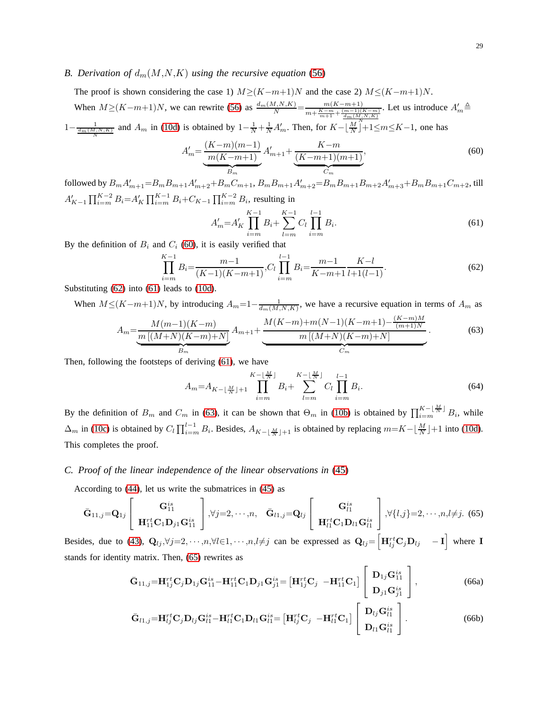### *B. Derivation of*  $d_m(M,N,K)$  *using the recursive equation* [\(56\)](#page-24-0)

The proof is shown considering the case 1)  $M \geq (K-m+1)N$  and the case 2)  $M \leq (K-m+1)N$ . When  $M \ge (K-m+1)N$ , we can rewrite [\(56\)](#page-24-0) as  $\frac{d_m(M,N,K)}{N} = \frac{m(K-m+1)}{m + \frac{K-m}{K} + \frac{(m-1)(K-m+1)}{K}}$  $m + \frac{K-m}{m+1} + \frac{(m-1)(K-m)}{\frac{d_m(M,N,K)}{N}}$ . Let us introduce  $A'_m \triangleq$  $1-\frac{1}{\frac{dm(M,N,K)}{N}}$  and  $A_m$  in [\(10d\)](#page-7-0) is obtained by  $1-\frac{1}{N}+\frac{1}{N}A'_m$ . Then, for  $K-\lfloor \frac{M}{N} \rfloor+1 \leq m \leq K-1$ , one has

<span id="page-28-0"></span>
$$
A'_{m} = \underbrace{\frac{(K-m)(m-1)}{m(K-m+1)}}_{B_{m}} A'_{m+1} + \underbrace{\frac{K-m}{(K-m+1)(m+1)}}_{C_{m}},\tag{60}
$$

followed by  $B_m A'_{m+1} = B_m B_{m+1} A'_{m+2} + B_m C_{m+1}$ ,  $B_m B_{m+1} A'_{m+2} = B_m B_{m+1} B_{m+2} A'_{m+3} + B_m B_{m+1} C_{m+2}$ , till  $A'_{K-1} \prod_{i=m}^{K-2} B_i = A'_{K} \prod_{i=m}^{K-1} B_i + C_{K-1} \prod_{i=m}^{K-2} B_i$ , resulting in

<span id="page-28-1"></span>
$$
A'_{m} = A'_{K} \prod_{i=m}^{K-1} B_{i} + \sum_{l=m}^{K-1} C_{l} \prod_{i=m}^{l-1} B_{i}.
$$
 (61)

By the definition of  $B_i$  and  $C_i$  [\(60\)](#page-28-0), it is easily verified that

$$
\prod_{i=m}^{K-1} B_i = \frac{m-1}{(K-1)(K-m+1)}, C_l \prod_{i=m}^{l-1} B_i = \frac{m-1}{K-m+1} \frac{K-l}{l+1(l-1)}.
$$
\n(62)

Substituting [\(62\)](#page-28-1) into [\(61\)](#page-28-1) leads to [\(10d\)](#page-7-0).

When  $M \leq (K-m+1)N$ , by introducing  $A_m=1-\frac{1}{d_m(M,N,K)}$ , we have a recursive equation in terms of  $A_m$  as

$$
A_m = \underbrace{\frac{M(m-1)(K-m)}{m\left[(M+N)(K-m)+N\right]}}_{B_m} A_{m+1} + \underbrace{\frac{M(K-m)+m(N-1)(K-m+1)-\frac{(K-m)M}{(m+1)N}}{m\left[(M+N)(K-m)+N\right]}}_{C_m}.
$$
(63)

Then, following the footsteps of deriving [\(61\)](#page-28-1), we have

$$
A_{m} = A_{K - \lfloor \frac{M}{N} \rfloor + 1} \prod_{i=m}^{K - \lfloor \frac{M}{N} \rfloor} B_{i} + \sum_{l=m}^{K - \lfloor \frac{M}{N} \rfloor} C_{l} \prod_{i=m}^{l-1} B_{i}.
$$
 (64)

By the definition of  $B_m$  and  $C_m$  in [\(63\)](#page-28-1), it can be shown that  $\Theta_m$  in [\(10b\)](#page-7-0) is obtained by  $\prod_{i=m}^{K- \lfloor \frac{M}{N} \rfloor} B_i$ , while  $\Delta_m$  in [\(10c\)](#page-7-0) is obtained by  $C_l \prod_{i=m}^{l-1} B_i$ . Besides,  $A_{K-\lfloor \frac{M}{N} \rfloor+1}$  is obtained by replacing  $m=K-\lfloor \frac{M}{N} \rfloor+1$  into [\(10d\)](#page-7-0). This completes the proof.

#### <span id="page-28-2"></span>*C. Proof of the linear independence of the linear observations in* [\(45\)](#page-21-1)

According to [\(44\)](#page-21-1), let us write the submatrices in [\(45\)](#page-21-1) as

$$
\bar{\mathbf{G}}_{11,j} = \mathbf{Q}_{1j} \begin{bmatrix} \mathbf{G}_{11}^{is} \\ \mathbf{H}_{11}^{rt} \mathbf{C}_1 \mathbf{D}_{j1} \mathbf{G}_{11}^{is} \end{bmatrix}, \forall j = 2, \cdots, n, \quad \bar{\mathbf{G}}_{l1,j} = \mathbf{Q}_{lj} \begin{bmatrix} \mathbf{G}_{l1}^{is} \\ \mathbf{H}_{l1}^{rt} \mathbf{C}_1 \mathbf{D}_{l1} \mathbf{G}_{l1}^{is} \end{bmatrix}, \forall \{l,j\} = 2, \cdots, n, l \neq j. \tag{65}
$$

Besides, due to [\(43\)](#page-21-1),  $\mathbf{Q}_{lj}, \forall j=2,\cdots,n, \forall l \in 1,\cdots,n, l \neq j$  can be expressed as  $\mathbf{Q}_{lj} = \begin{bmatrix} \mathbf{H}^{rt}_{lj}\mathbf{C}_{j}\mathbf{D}_{lj} & -\mathbf{I} \end{bmatrix}$  where I stands for identity matrix. Then, [\(65\)](#page-28-2) rewrites as

$$
\bar{\mathbf{G}}_{11,j} = \mathbf{H}_{1j}^{rt} \mathbf{C}_{j} \mathbf{D}_{1j} \mathbf{G}_{11}^{is} - \mathbf{H}_{11}^{rt} \mathbf{C}_{1} \mathbf{D}_{j1} \mathbf{G}_{j1}^{is} = \left[ \mathbf{H}_{1j}^{rt} \mathbf{C}_{j} \ \ -\mathbf{H}_{11}^{rt} \mathbf{C}_{1} \right] \left[ \begin{array}{c} \mathbf{D}_{1j} \mathbf{G}_{11}^{is} \\ \mathbf{D}_{j1} \mathbf{G}_{j1}^{is} \end{array} \right],\tag{66a}
$$

$$
\bar{\mathbf{G}}_{l1,j} = \mathbf{H}_{lj}^{rt} \mathbf{C}_{j} \mathbf{D}_{lj} \mathbf{G}_{l1}^{is} - \mathbf{H}_{l1}^{rt} \mathbf{C}_{1} \mathbf{D}_{l1} \mathbf{G}_{l1}^{is} = \left[ \mathbf{H}_{lj}^{rt} \mathbf{C}_{j} \ \ -\mathbf{H}_{l1}^{rt} \mathbf{C}_{1} \right] \left[ \begin{array}{c} \mathbf{D}_{lj} \mathbf{G}_{l1}^{is} \\ \mathbf{D}_{l1} \mathbf{G}_{l1}^{is} \end{array} \right]. \tag{66b}
$$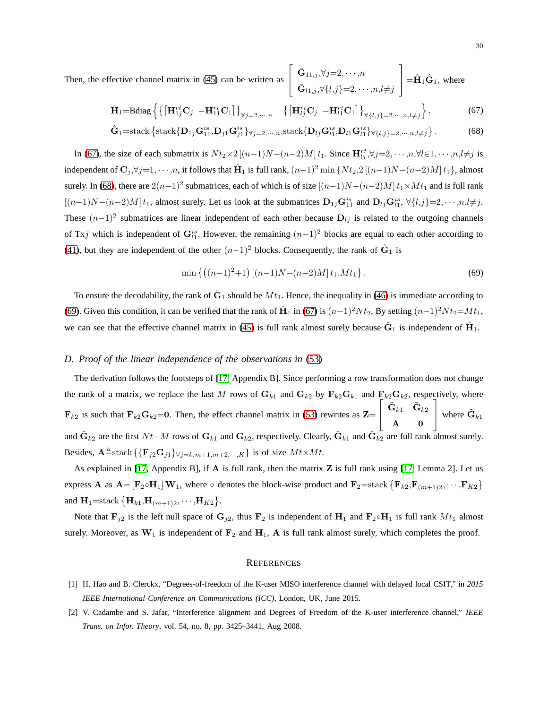Then, the effective channel matrix in  $(45)$  can be written

as 
$$
\begin{bmatrix} \bar{\mathbf{G}}_{11,j}, \forall j=2,\cdots,n \\ \bar{\mathbf{G}}_{l1,j}, \forall \{l,j\}=2,\cdots,n, l\neq j \end{bmatrix} = \hat{\mathbf{H}}_1 \hat{\mathbf{G}}_1, \text{ where}
$$

$$
\hat{\mathbf{H}}_1 = \text{Bdiag}\left\{ \left\{ \left[ \mathbf{H}_{1j}^{rt} \mathbf{C}_j - \mathbf{H}_{11}^{rt} \mathbf{C}_1 \right] \right\}_{\forall j=2,\cdots,n} \quad \left\{ \left[ \mathbf{H}_{lj}^{rt} \mathbf{C}_j - \mathbf{H}_{l1}^{rt} \mathbf{C}_1 \right] \right\}_{\forall \{l,j\}=2,\cdots,n,l\neq j} \right\},\tag{67}
$$

$$
\hat{\mathbf{G}}_1 = \text{stack}\left\{\text{stack}\{\mathbf{D}_{1j}\mathbf{G}_{11}^{is}, \mathbf{D}_{j1}\mathbf{G}_{j1}^{is}\}_{\forall j=2,\cdots,n}, \text{stack}\{\mathbf{D}_{lj}\mathbf{G}_{l1}^{is}, \mathbf{D}_{li}\mathbf{G}_{l1}^{is}\}_{\forall \{l,j\}=2,\cdots,n,l\neq j}\right\}.
$$
 (68)

In [\(67\)](#page-28-2), the size of each submatrix is  $Nt_2 \times 2 [(n-1)N-(n-2)M]t_1$ . Since  $\mathbf{H}_{lj}^{rt}$ , $\forall j=2,\dots,n, \forall l \in 1,\dots,n, l \neq j$  is independent of  $\mathbf{C}_j$ , $\forall j=1,\cdots,n$ , it follows that  $\hat{\mathbf{H}}_1$  is full rank,  $(n-1)^2 \min \{Nt_2,2[(n-1)N-(n-2)M]t_1\}$ , almost surely. In [\(68\)](#page-28-2), there are  $2(n-1)^2$  submatrices, each of which is of size  $[(n-1)N-(n-2)M]t_1\times Mt_1$  and is full rank  $[(n-1)N-(n-2)M]t_1$ , almost surely. Let us look at the submatrices  $\mathbf{D}_{1j}\mathbf{G}_{11}^{is}$  and  $\mathbf{D}_{lj}\mathbf{G}_{l1}^{is}$ ,  $\forall \{l,j\}=2,\cdots,n,l\neq j$ . These  $(n-1)^2$  submatrices are linear independent of each other because  $D_{lj}$  is related to the outgoing channels of Txj which is independent of  $G_{l1}^{is}$ . However, the remaining  $(n-1)^2$  blocks are equal to each other according to [\(41\)](#page-21-1), but they are independent of the other  $(n-1)^2$  blocks. Consequently, the rank of  $\hat{G}_1$  is

$$
\min\left\{ \left( (n-1)^2 + 1 \right) \left[ (n-1)N - (n-2)M \right] t_1, M t_1 \right\}.
$$
\n(69)

To ensure the decodability, the rank of  $\hat{G}_1$  should be  $Mt_1$ . Hence, the inequality in [\(46\)](#page-21-1) is immediate according to [\(69\)](#page-28-2). Given this condition, it can be verified that the rank of  $\hat{H}_1$  in [\(67\)](#page-28-2) is  $(n-1)^2 N t_2$ . By setting  $(n-1)^2 N t_2 = M t_1$ , we can see that the effective channel matrix in [\(45\)](#page-21-1) is full rank almost surely because  $\hat{G}_1$  is independent of  $\hat{H}_1$ .

### *D. Proof of the linear independence of the observations in* [\(53\)](#page-24-0)

The derivation follows the footsteps of [\[17,](#page-30-12) Appendix B]. Since performing a row transformation does not change the rank of a matrix, we replace the last M rows of  $G_{k1}$  and  $G_{k2}$  by  $F_{k2}G_{k1}$  and  $F_{k2}G_{k2}$ , respectively, where  $\mathbf{F}_{k2}$  is such that  $\mathbf{F}_{k2}\mathbf{G}_{k2}=0$ . Then, the effect channel matrix in [\(53\)](#page-24-0) rewrites as  $\mathbf{Z}=$  $\sqrt{ }$  $\overline{\phantom{a}}$  $\tilde{\textbf{G}}_{k1}$   $\tilde{\textbf{G}}_{k2}$  $\mathbf{A}$  0 1 where  $\tilde{\mathbf{G}}_{k1}$ and  $\tilde{G}_{k2}$  are the first  $Nt-M$  rows of  $G_{k1}$  and  $G_{k2}$ , respectively. Clearly,  $\tilde{G}_{k1}$  and  $\tilde{G}_{k2}$  are full rank almost surely. Besides,  $\mathbf{A} \triangleq$ stack  $\{ {\mathbf{F}_i}_2\mathbf{G}_i \} \forall i = k, m+1, m+2, \dots, K \}$  is of size  $M t \times M t$ .

As explained in [\[17,](#page-30-12) Appendix B], if A is full rank, then the matrix Z is full rank using [\[17,](#page-30-12) Lemma 2]. Let us express **A** as  $\mathbf{A} = [\mathbf{F}_2 \circ \mathbf{H}_1] \mathbf{W}_1$ , where  $\circ$  denotes the block-wise product and  $\mathbf{F}_2 = \text{stack} \{ \mathbf{F}_{k2}, \mathbf{F}_{(m+1)2}, \cdots, \mathbf{F}_{K2} \}$ and  $H_1 = \text{stack} \{ H_{k1}, H_{(m+1)2}, \cdots, H_{K2} \}.$ 

Note that  $\mathbf{F}_{j2}$  is the left null space of  $\mathbf{G}_{j2}$ , thus  $\mathbf{F}_{2}$  is independent of  $\mathbf{H}_{1}$  and  $\mathbf{F}_{2} \circ \mathbf{H}_{1}$  is full rank  $Mt_1$  almost surely. Moreover, as  $W_1$  is independent of  $F_2$  and  $H_1$ , A is full rank almost surely, which completes the proof.

#### **REFERENCES**

- <span id="page-29-1"></span><span id="page-29-0"></span>[1] H. Hao and B. Clerckx, "Degrees-of-freedom of the K-user MISO interference channel with delayed local CSIT," in *2015 IEEE International Conference on Communications (ICC)*, London, UK, June 2015.
- [2] V. Cadambe and S. Jafar, "Interference alignment and Degrees of Freedom of the K-user interference channel," *IEEE Trans. on Infor. Theory*, vol. 54, no. 8, pp. 3425–3441, Aug 2008.